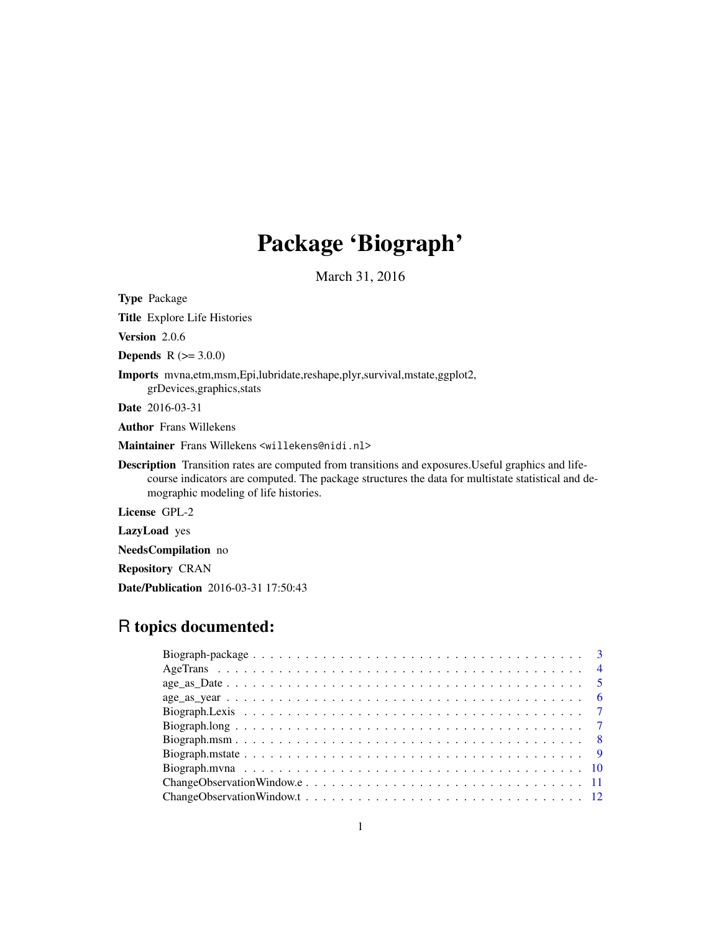# Package 'Biograph'

March 31, 2016

Type Package

Title Explore Life Histories

Version 2.0.6

**Depends** R  $(>= 3.0.0)$ 

Imports mvna,etm,msm,Epi,lubridate,reshape,plyr,survival,mstate,ggplot2,

grDevices,graphics,stats

Date 2016-03-31

Author Frans Willekens

Maintainer Frans Willekens <willekens@nidi.nl>

Description Transition rates are computed from transitions and exposures.Useful graphics and lifecourse indicators are computed. The package structures the data for multistate statistical and demographic modeling of life histories.

License GPL-2

LazyLoad yes

NeedsCompilation no

Repository CRAN

Date/Publication 2016-03-31 17:50:43

# R topics documented: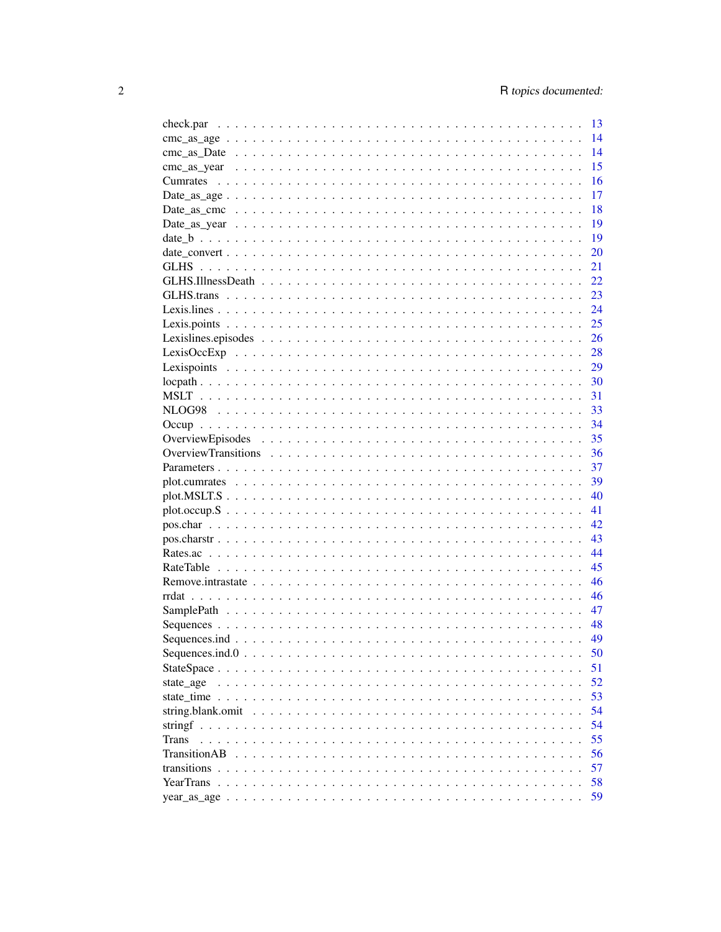|                   | 13 |
|-------------------|----|
|                   | 14 |
|                   | 14 |
|                   | 15 |
| <b>Cumrates</b>   | 16 |
|                   | 17 |
|                   | 18 |
|                   | 19 |
|                   | 19 |
|                   | 20 |
|                   | 21 |
|                   | 22 |
|                   | 23 |
|                   | 24 |
|                   | 25 |
|                   | 26 |
|                   | 28 |
|                   | 29 |
|                   | 30 |
|                   | 31 |
|                   | 33 |
|                   | 34 |
|                   | 35 |
|                   | 36 |
|                   | 37 |
|                   | 39 |
|                   | 40 |
|                   | 41 |
|                   | 42 |
|                   | 43 |
|                   | 44 |
|                   | 45 |
|                   | 46 |
|                   | 46 |
|                   | 47 |
|                   | 48 |
|                   | 49 |
|                   | 50 |
|                   | 51 |
| state age         | 52 |
|                   | 53 |
| string.blank.omit | 54 |
| stringf           | 54 |
| Trans             | 55 |
| TransitionAB      | 56 |
| transitions       | 57 |
| YearTrans         | 58 |
|                   | 59 |
|                   |    |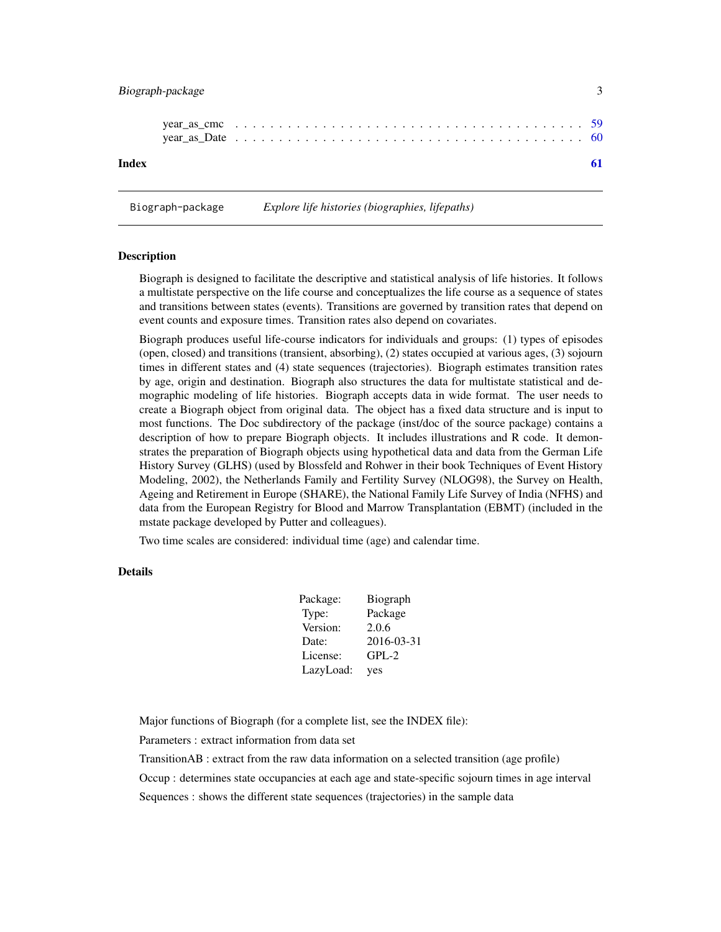# <span id="page-2-0"></span>Biograph-package 3

| Index |  |  |  |  |  |  |  |  |  |  |  |  |  |  |  |  |
|-------|--|--|--|--|--|--|--|--|--|--|--|--|--|--|--|--|

Biograph-package *Explore life histories (biographies, lifepaths)*

#### Description

Biograph is designed to facilitate the descriptive and statistical analysis of life histories. It follows a multistate perspective on the life course and conceptualizes the life course as a sequence of states and transitions between states (events). Transitions are governed by transition rates that depend on event counts and exposure times. Transition rates also depend on covariates.

Biograph produces useful life-course indicators for individuals and groups: (1) types of episodes (open, closed) and transitions (transient, absorbing), (2) states occupied at various ages, (3) sojourn times in different states and (4) state sequences (trajectories). Biograph estimates transition rates by age, origin and destination. Biograph also structures the data for multistate statistical and demographic modeling of life histories. Biograph accepts data in wide format. The user needs to create a Biograph object from original data. The object has a fixed data structure and is input to most functions. The Doc subdirectory of the package (inst/doc of the source package) contains a description of how to prepare Biograph objects. It includes illustrations and R code. It demonstrates the preparation of Biograph objects using hypothetical data and data from the German Life History Survey (GLHS) (used by Blossfeld and Rohwer in their book Techniques of Event History Modeling, 2002), the Netherlands Family and Fertility Survey (NLOG98), the Survey on Health, Ageing and Retirement in Europe (SHARE), the National Family Life Survey of India (NFHS) and data from the European Registry for Blood and Marrow Transplantation (EBMT) (included in the mstate package developed by Putter and colleagues).

Two time scales are considered: individual time (age) and calendar time.

#### Details

| Package:  | Biograph   |
|-----------|------------|
| Type:     | Package    |
| Version:  | 2.0.6      |
| Date:     | 2016-03-31 |
| License:  | $GPL-2$    |
| LazyLoad: | yes        |

Major functions of Biograph (for a complete list, see the INDEX file):

Parameters : extract information from data set

TransitionAB : extract from the raw data information on a selected transition (age profile)

Occup : determines state occupancies at each age and state-specific sojourn times in age interval

Sequences : shows the different state sequences (trajectories) in the sample data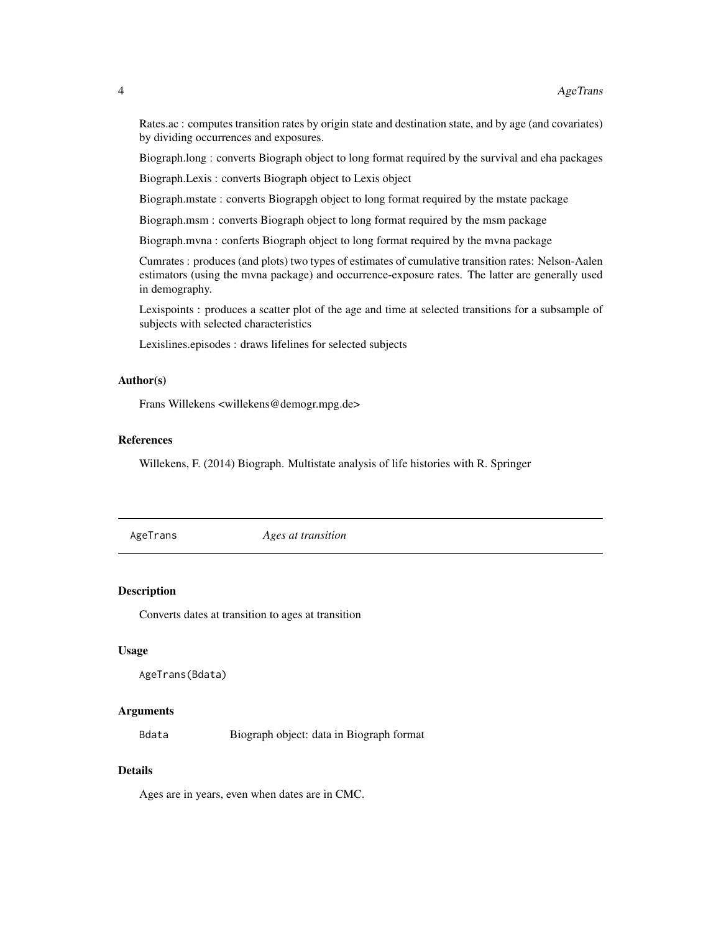<span id="page-3-0"></span>Rates.ac : computes transition rates by origin state and destination state, and by age (and covariates) by dividing occurrences and exposures.

Biograph.long : converts Biograph object to long format required by the survival and eha packages

Biograph.Lexis : converts Biograph object to Lexis object

Biograph.mstate : converts Biograpgh object to long format required by the mstate package

Biograph.msm : converts Biograph object to long format required by the msm package

Biograph.mvna : conferts Biograph object to long format required by the mvna package

Cumrates : produces (and plots) two types of estimates of cumulative transition rates: Nelson-Aalen estimators (using the mvna package) and occurrence-exposure rates. The latter are generally used in demography.

Lexispoints : produces a scatter plot of the age and time at selected transitions for a subsample of subjects with selected characteristics

Lexislines.episodes : draws lifelines for selected subjects

## Author(s)

Frans Willekens <willekens@demogr.mpg.de>

## References

Willekens, F. (2014) Biograph. Multistate analysis of life histories with R. Springer

AgeTrans *Ages at transition*

## **Description**

Converts dates at transition to ages at transition

#### Usage

```
AgeTrans(Bdata)
```
#### Arguments

Bdata Biograph object: data in Biograph format

#### Details

Ages are in years, even when dates are in CMC.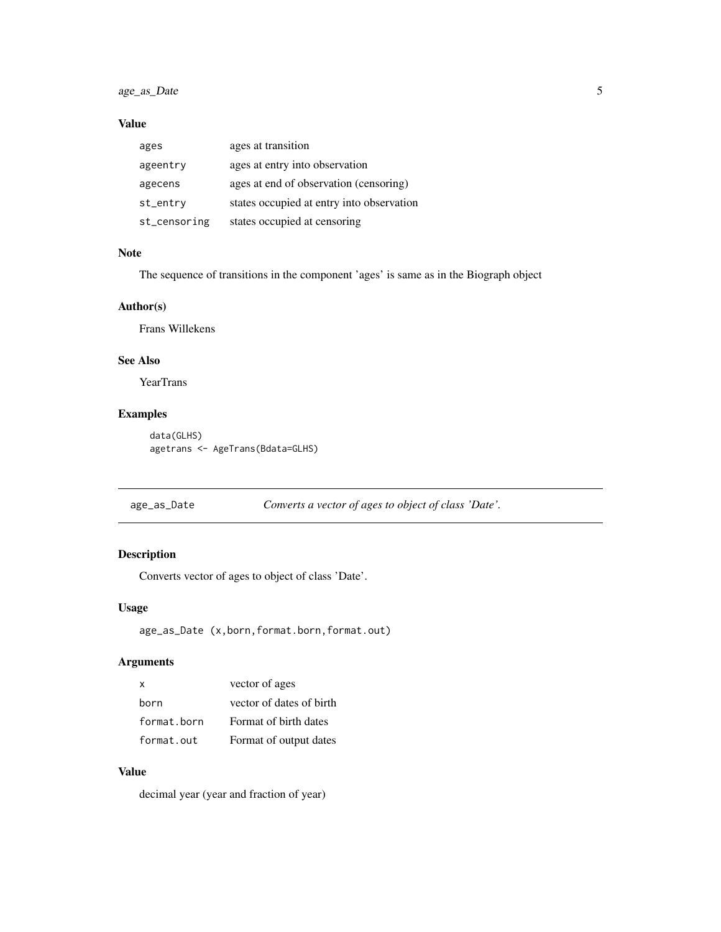# <span id="page-4-0"></span>age\_as\_Date 5

## Value

| ages         | ages at transition                        |
|--------------|-------------------------------------------|
| ageentry     | ages at entry into observation            |
| agecens      | ages at end of observation (censoring)    |
| st_entry     | states occupied at entry into observation |
| st_censoring | states occupied at censoring              |

# Note

The sequence of transitions in the component 'ages' is same as in the Biograph object

## Author(s)

Frans Willekens

## See Also

YearTrans

# Examples

data(GLHS) agetrans <- AgeTrans(Bdata=GLHS)

age\_as\_Date *Converts a vector of ages to object of class 'Date'.*

# Description

Converts vector of ages to object of class 'Date'.

## Usage

```
age_as_Date (x,born,format.born,format.out)
```
## Arguments

| X           | vector of ages           |
|-------------|--------------------------|
| born        | vector of dates of birth |
| format.born | Format of birth dates    |
| format.out  | Format of output dates   |

# Value

decimal year (year and fraction of year)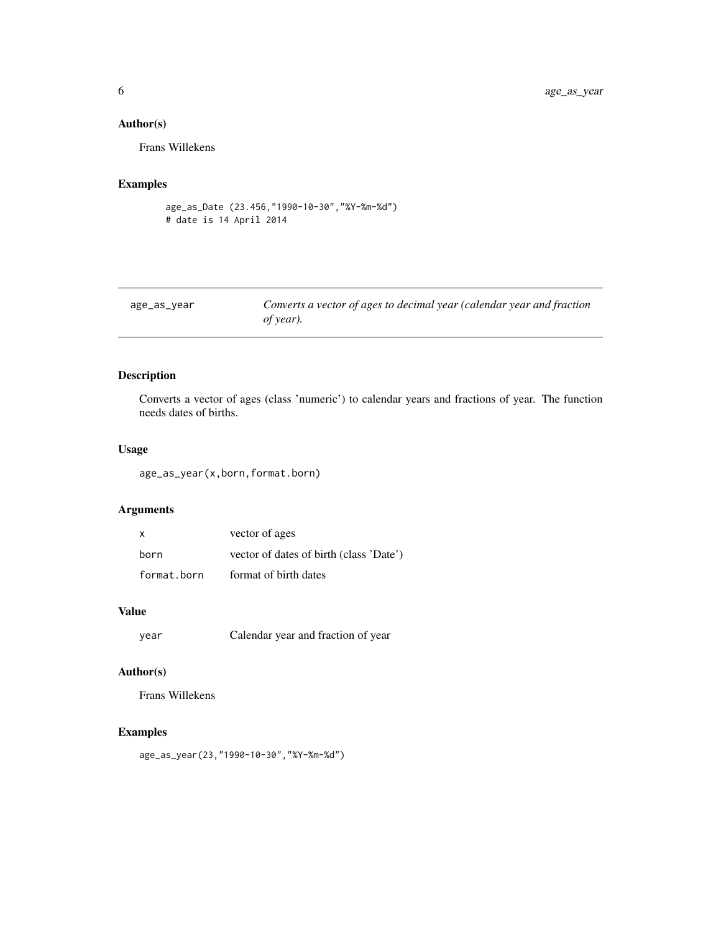# Author(s)

Frans Willekens

## Examples

```
age_as_Date (23.456,"1990-10-30","%Y-%m-%d")
# date is 14 April 2014
```

| age_as_year | Converts a vector of ages to decimal year (calendar year and fraction |
|-------------|-----------------------------------------------------------------------|
|             | of year).                                                             |

## Description

Converts a vector of ages (class 'numeric') to calendar years and fractions of year. The function needs dates of births.

## Usage

age\_as\_year(x,born,format.born)

## Arguments

| $\mathsf{x}$ | vector of ages                          |
|--------------|-----------------------------------------|
| born         | vector of dates of birth (class 'Date') |
| format.born  | format of birth dates                   |

## Value

```
year Calendar year and fraction of year
```
## Author(s)

Frans Willekens

# Examples

age\_as\_year(23,"1990-10-30","%Y-%m-%d")

<span id="page-5-0"></span>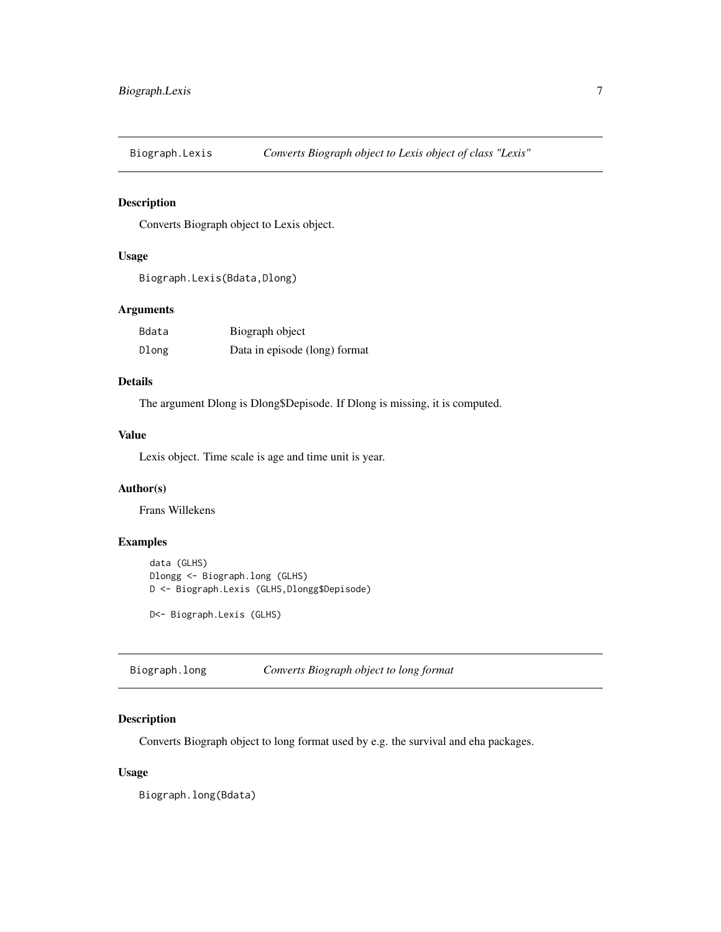<span id="page-6-0"></span>

Converts Biograph object to Lexis object.

# Usage

```
Biograph.Lexis(Bdata,Dlong)
```
## Arguments

| Bdata | Biograph object               |
|-------|-------------------------------|
| Dlong | Data in episode (long) format |

## Details

The argument Dlong is Dlong\$Depisode. If Dlong is missing, it is computed.

## Value

Lexis object. Time scale is age and time unit is year.

## Author(s)

Frans Willekens

## Examples

```
data (GLHS)
Dlongg <- Biograph.long (GLHS)
D <- Biograph.Lexis (GLHS,Dlongg$Depisode)
```
D<- Biograph.Lexis (GLHS)

Biograph.long *Converts Biograph object to long format*

## Description

Converts Biograph object to long format used by e.g. the survival and eha packages.

#### Usage

Biograph.long(Bdata)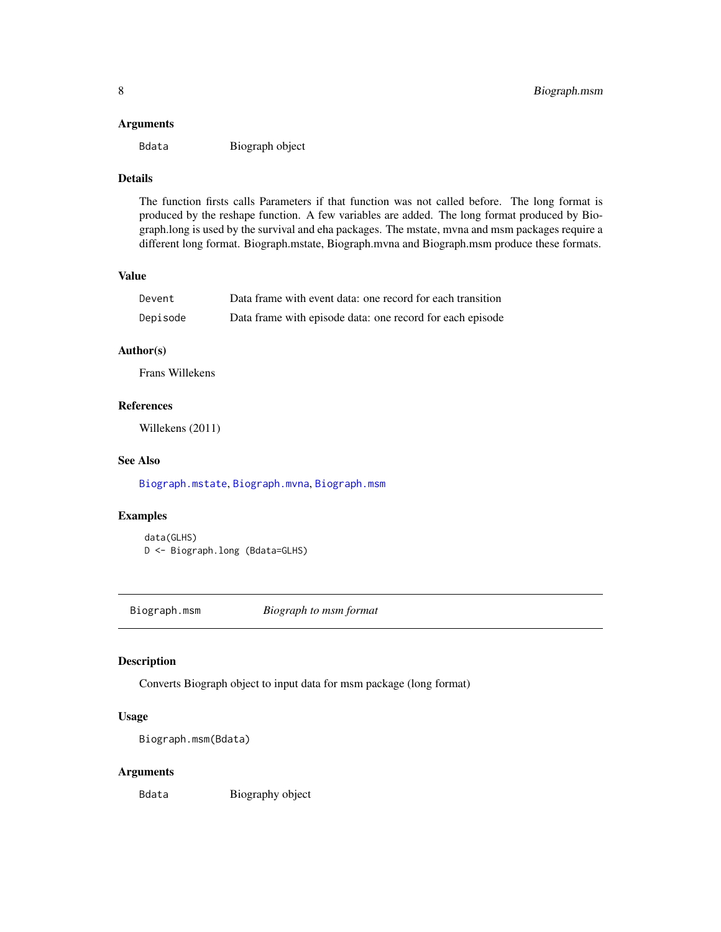#### <span id="page-7-0"></span>Arguments

Bdata Biograph object

# Details

The function firsts calls Parameters if that function was not called before. The long format is produced by the reshape function. A few variables are added. The long format produced by Biograph.long is used by the survival and eha packages. The mstate, mvna and msm packages require a different long format. Biograph.mstate, Biograph.mvna and Biograph.msm produce these formats.

#### Value

| Devent   | Data frame with event data: one record for each transition |
|----------|------------------------------------------------------------|
| Depisode | Data frame with episode data: one record for each episode  |

## Author(s)

Frans Willekens

## References

Willekens (2011)

## See Also

[Biograph.mstate](#page-8-1), [Biograph.mvna](#page-9-1), [Biograph.msm](#page-7-1)

#### Examples

data(GLHS) D <- Biograph.long (Bdata=GLHS)

<span id="page-7-1"></span>Biograph.msm *Biograph to msm format*

## Description

Converts Biograph object to input data for msm package (long format)

## Usage

Biograph.msm(Bdata)

## Arguments

Bdata Biography object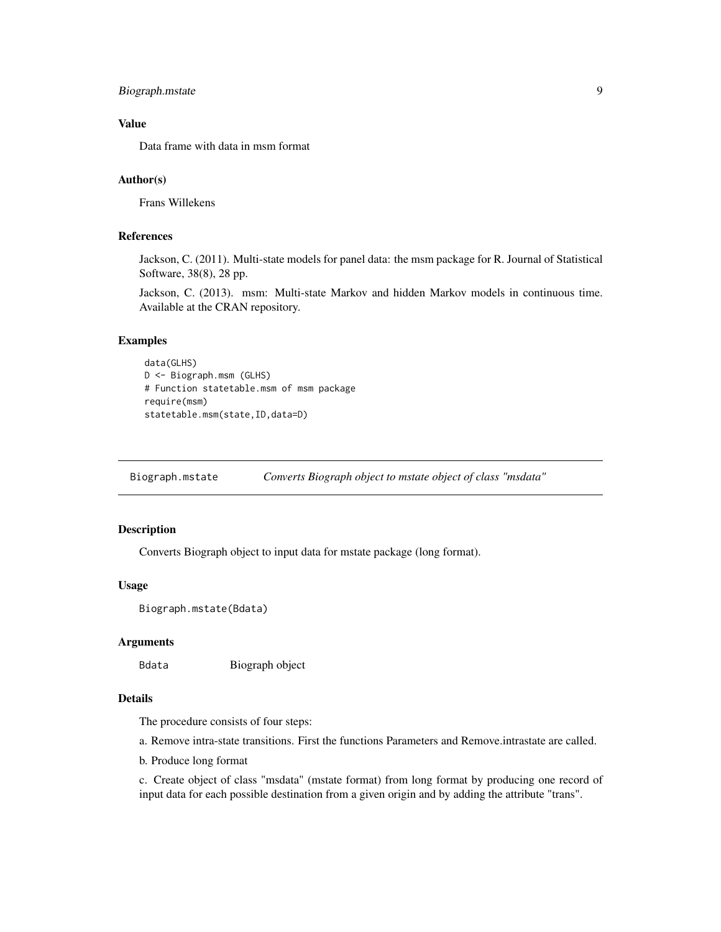## <span id="page-8-0"></span>Biograph.mstate 9

## Value

Data frame with data in msm format

#### Author(s)

Frans Willekens

#### References

Jackson, C. (2011). Multi-state models for panel data: the msm package for R. Journal of Statistical Software, 38(8), 28 pp.

Jackson, C. (2013). msm: Multi-state Markov and hidden Markov models in continuous time. Available at the CRAN repository.

#### Examples

```
data(GLHS)
D <- Biograph.msm (GLHS)
# Function statetable.msm of msm package
require(msm)
statetable.msm(state,ID,data=D)
```
<span id="page-8-1"></span>Biograph.mstate *Converts Biograph object to mstate object of class "msdata"*

#### Description

Converts Biograph object to input data for mstate package (long format).

#### Usage

```
Biograph.mstate(Bdata)
```
#### Arguments

Bdata Biograph object

## Details

The procedure consists of four steps:

a. Remove intra-state transitions. First the functions Parameters and Remove.intrastate are called.

b. Produce long format

c. Create object of class "msdata" (mstate format) from long format by producing one record of input data for each possible destination from a given origin and by adding the attribute "trans".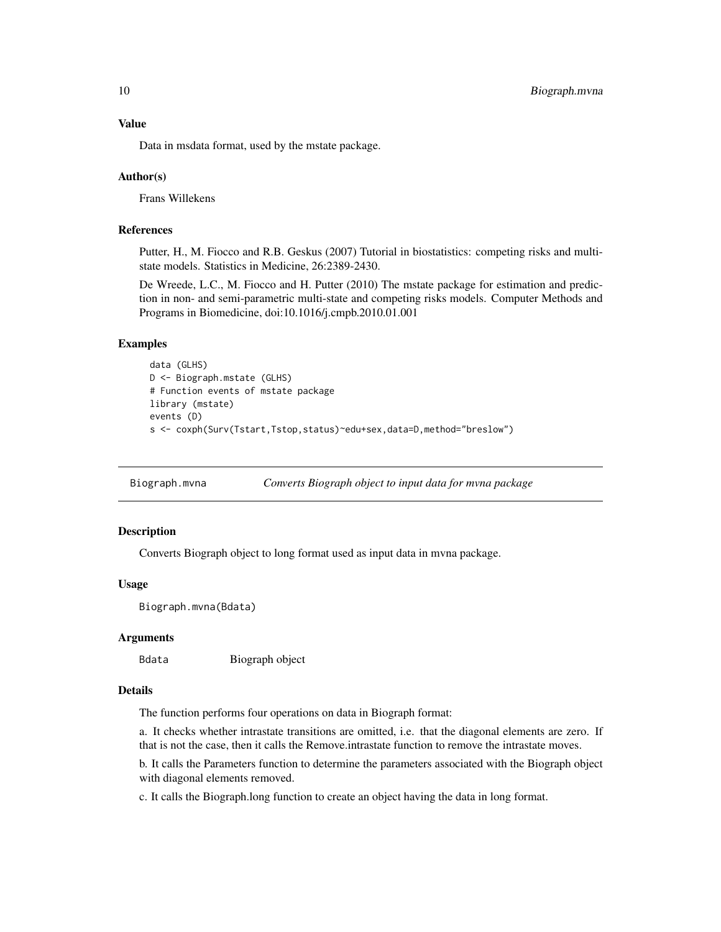<span id="page-9-0"></span>Data in msdata format, used by the mstate package.

#### Author(s)

Frans Willekens

#### References

Putter, H., M. Fiocco and R.B. Geskus (2007) Tutorial in biostatistics: competing risks and multistate models. Statistics in Medicine, 26:2389-2430.

De Wreede, L.C., M. Fiocco and H. Putter (2010) The mstate package for estimation and prediction in non- and semi-parametric multi-state and competing risks models. Computer Methods and Programs in Biomedicine, doi:10.1016/j.cmpb.2010.01.001

## Examples

```
data (GLHS)
D <- Biograph.mstate (GLHS)
# Function events of mstate package
library (mstate)
events (D)
s <- coxph(Surv(Tstart,Tstop,status)~edu+sex,data=D,method="breslow")
```
<span id="page-9-1"></span>Biograph.mvna *Converts Biograph object to input data for mvna package*

## Description

Converts Biograph object to long format used as input data in mvna package.

#### Usage

Biograph.mvna(Bdata)

#### Arguments

Bdata Biograph object

#### Details

The function performs four operations on data in Biograph format:

a. It checks whether intrastate transitions are omitted, i.e. that the diagonal elements are zero. If that is not the case, then it calls the Remove.intrastate function to remove the intrastate moves.

b. It calls the Parameters function to determine the parameters associated with the Biograph object with diagonal elements removed.

c. It calls the Biograph.long function to create an object having the data in long format.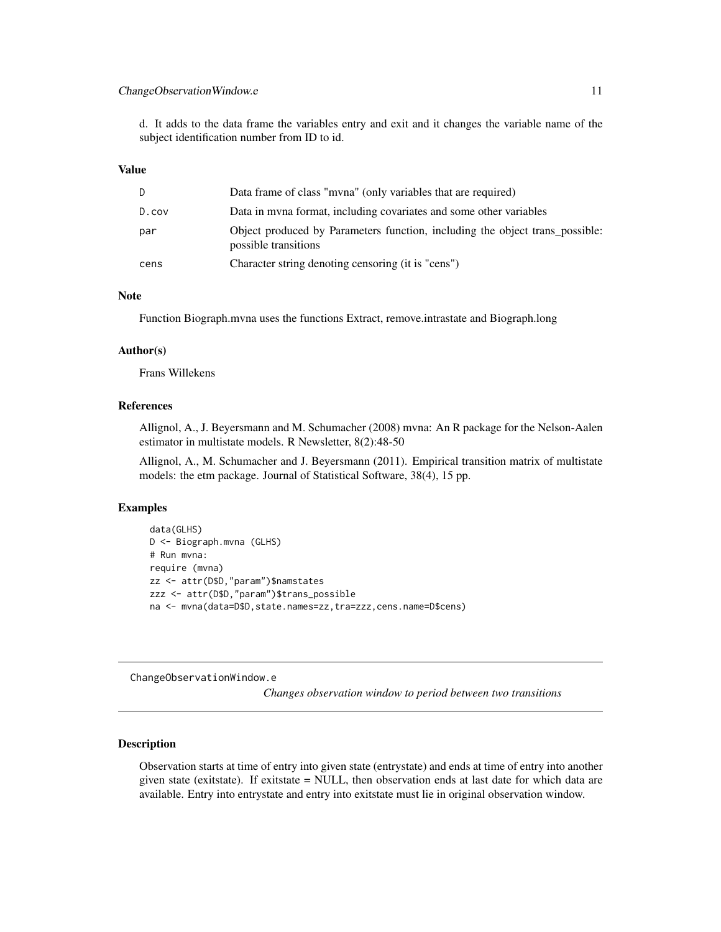## <span id="page-10-0"></span>ChangeObservationWindow.e 11

d. It adds to the data frame the variables entry and exit and it changes the variable name of the subject identification number from ID to id.

#### Value

| D.    | Data frame of class "myna" (only variables that are required)                                        |
|-------|------------------------------------------------------------------------------------------------------|
| D.cov | Data in myna format, including covariates and some other variables                                   |
| par   | Object produced by Parameters function, including the object trans possible:<br>possible transitions |
| cens  | Character string denoting censoring (it is "cens")                                                   |

#### Note

Function Biograph.mvna uses the functions Extract, remove.intrastate and Biograph.long

#### Author(s)

Frans Willekens

## References

Allignol, A., J. Beyersmann and M. Schumacher (2008) mvna: An R package for the Nelson-Aalen estimator in multistate models. R Newsletter, 8(2):48-50

Allignol, A., M. Schumacher and J. Beyersmann (2011). Empirical transition matrix of multistate models: the etm package. Journal of Statistical Software, 38(4), 15 pp.

## Examples

```
data(GLHS)
D <- Biograph.mvna (GLHS)
# Run mvna:
require (mvna)
zz <- attr(D$D,"param")$namstates
zzz <- attr(D$D,"param")$trans_possible
na <- mvna(data=D$D, state.names=zz, tra=zzz, cens.name=D$cens)
```
ChangeObservationWindow.e

*Changes observation window to period between two transitions*

## Description

Observation starts at time of entry into given state (entrystate) and ends at time of entry into another given state (exitstate). If exitstate  $=$  NULL, then observation ends at last date for which data are available. Entry into entrystate and entry into exitstate must lie in original observation window.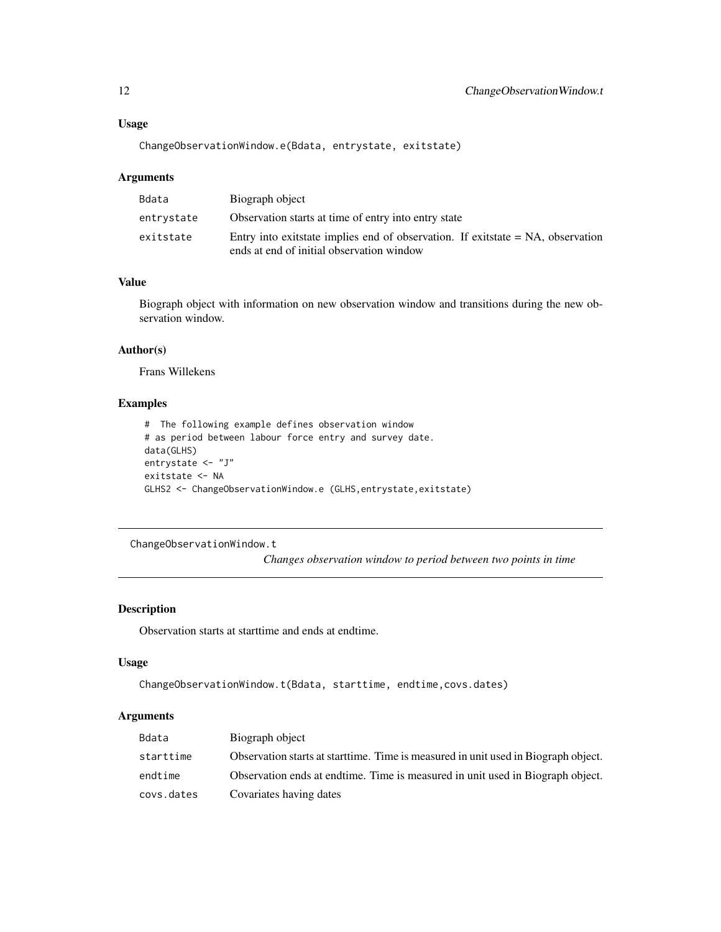## Usage

ChangeObservationWindow.e(Bdata, entrystate, exitstate)

#### Arguments

| Bdata      | Biograph object                                                                                                                 |
|------------|---------------------------------------------------------------------------------------------------------------------------------|
| entrystate | Observation starts at time of entry into entry state                                                                            |
| exitstate  | Entry into exitstate implies end of observation. If exitstate $= NA$ , observation<br>ends at end of initial observation window |

## Value

Biograph object with information on new observation window and transitions during the new observation window.

## Author(s)

Frans Willekens

## Examples

```
# The following example defines observation window
# as period between labour force entry and survey date.
data(GLHS)
entrystate <- "J"
exitstate <- NA
GLHS2 <- ChangeObservationWindow.e (GLHS, entrystate, exitstate)
```
ChangeObservationWindow.t

*Changes observation window to period between two points in time*

## Description

Observation starts at starttime and ends at endtime.

#### Usage

```
ChangeObservationWindow.t(Bdata, starttime, endtime,covs.dates)
```
## Arguments

| Bdata      | Biograph object                                                                     |
|------------|-------------------------------------------------------------------------------------|
| starttime  | Observation starts at start time. Time is measured in unit used in Biograph object. |
| endtime    | Observation ends at endtime. Time is measured in unit used in Biograph object.      |
| covs.dates | Covariates having dates                                                             |

<span id="page-11-0"></span>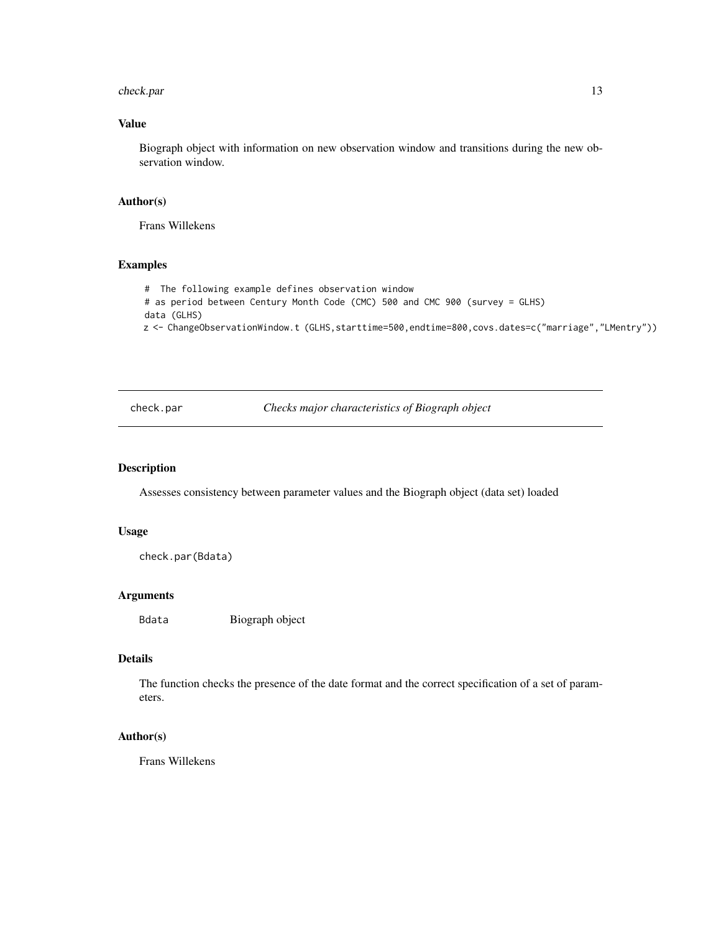#### <span id="page-12-0"></span>check.par 13

## Value

Biograph object with information on new observation window and transitions during the new observation window.

## Author(s)

Frans Willekens

## Examples

# The following example defines observation window # as period between Century Month Code (CMC) 500 and CMC 900 (survey = GLHS) data (GLHS) z <- ChangeObservationWindow.t (GLHS,starttime=500,endtime=800,covs.dates=c("marriage","LMentry"))

check.par *Checks major characteristics of Biograph object*

#### Description

Assesses consistency between parameter values and the Biograph object (data set) loaded

#### Usage

check.par(Bdata)

## Arguments

Bdata Biograph object

## Details

The function checks the presence of the date format and the correct specification of a set of parameters.

## Author(s)

Frans Willekens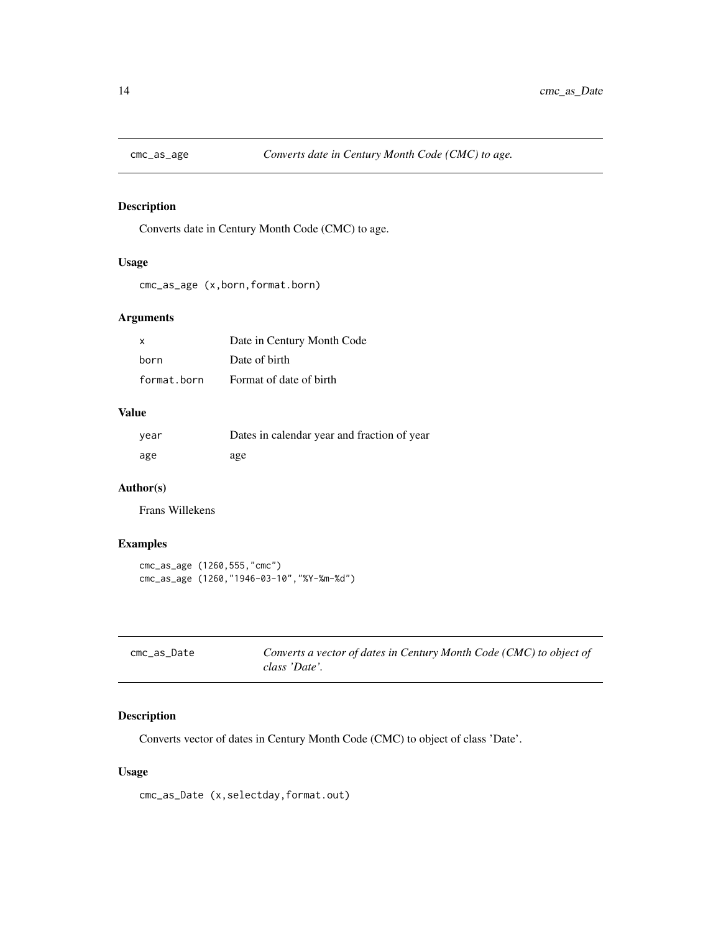<span id="page-13-0"></span>

Converts date in Century Month Code (CMC) to age.

## Usage

```
cmc_as_age (x,born,format.born)
```
## Arguments

| x           | Date in Century Month Code |
|-------------|----------------------------|
| born        | Date of birth              |
| format.born | Format of date of birth    |

#### Value

| year | Dates in calendar year and fraction of year |
|------|---------------------------------------------|
| age  | age                                         |

## Author(s)

Frans Willekens

## Examples

```
cmc_as_age (1260,555,"cmc")
cmc_as_age (1260,"1946-03-10","%Y-%m-%d")
```

| cmc_as_Date | Converts a vector of dates in Century Month Code (CMC) to object of |
|-------------|---------------------------------------------------------------------|
|             | class 'Date'.                                                       |

## Description

Converts vector of dates in Century Month Code (CMC) to object of class 'Date'.

## Usage

cmc\_as\_Date (x,selectday,format.out)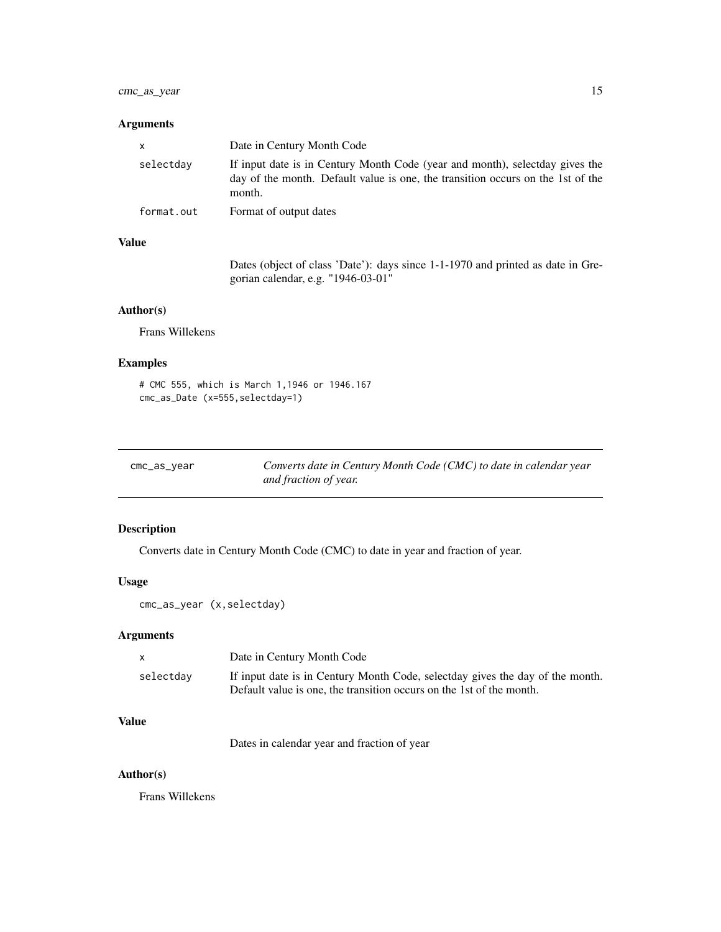## <span id="page-14-0"></span>cmc\_as\_year 15

## Arguments

| x          | Date in Century Month Code                                                                                                                                                |
|------------|---------------------------------------------------------------------------------------------------------------------------------------------------------------------------|
| selectdav  | If input date is in Century Month Code (year and month), selectday gives the<br>day of the month. Default value is one, the transition occurs on the 1st of the<br>month. |
| format.out | Format of output dates                                                                                                                                                    |

# Value

Dates (object of class 'Date'): days since 1-1-1970 and printed as date in Gregorian calendar, e.g. "1946-03-01"

# Author(s)

Frans Willekens

## Examples

```
# CMC 555, which is March 1,1946 or 1946.167
cmc_as_Date (x=555,selectday=1)
```

| cmc_as_year | Converts date in Century Month Code (CMC) to date in calendar year |
|-------------|--------------------------------------------------------------------|
|             | and fraction of year.                                              |

# Description

Converts date in Century Month Code (CMC) to date in year and fraction of year.

# Usage

cmc\_as\_year (x,selectday)

## Arguments

| X         | Date in Century Month Code                                                                                                                            |
|-----------|-------------------------------------------------------------------------------------------------------------------------------------------------------|
| selectday | If input date is in Century Month Code, selectday gives the day of the month.<br>Default value is one, the transition occurs on the 1st of the month. |

# Value

Dates in calendar year and fraction of year

# Author(s)

Frans Willekens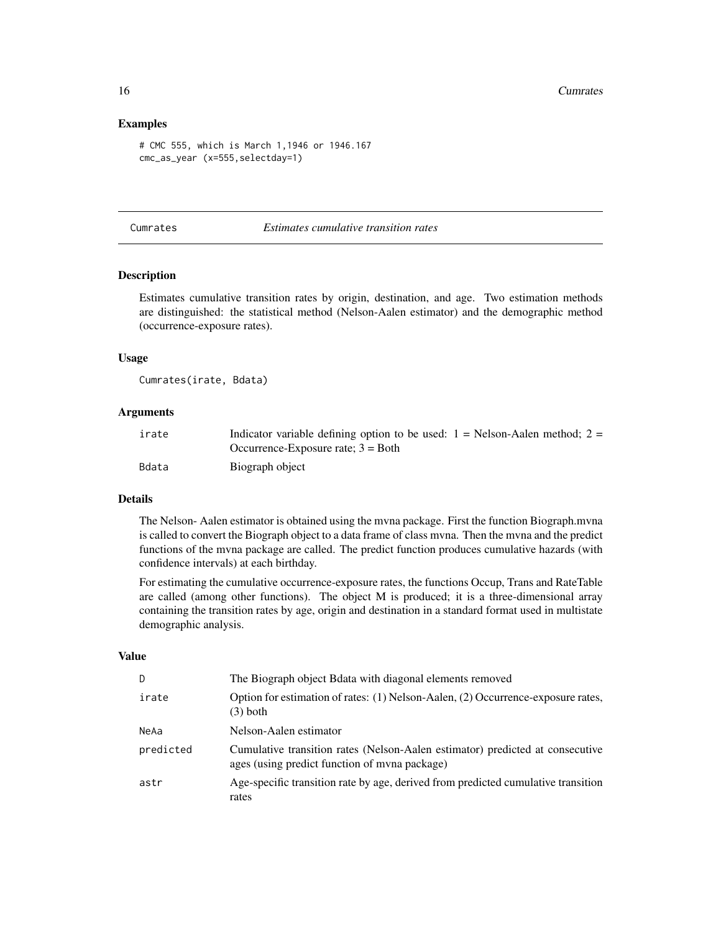#### Examples

```
# CMC 555, which is March 1,1946 or 1946.167
cmc_as_year (x=555,selectday=1)
```
#### <span id="page-15-1"></span>Cumrates *Estimates cumulative transition rates*

#### Description

Estimates cumulative transition rates by origin, destination, and age. Two estimation methods are distinguished: the statistical method (Nelson-Aalen estimator) and the demographic method (occurrence-exposure rates).

## Usage

Cumrates(irate, Bdata)

#### Arguments

| irate | Indicator variable defining option to be used: $1 =$ Nelson-Aalen method; $2 =$ |
|-------|---------------------------------------------------------------------------------|
|       | Occurrence-Exposure rate; $3 = Both$                                            |
| Bdata | Biograph object                                                                 |

## Details

The Nelson- Aalen estimator is obtained using the mvna package. First the function Biograph.mvna is called to convert the Biograph object to a data frame of class mvna. Then the mvna and the predict functions of the mvna package are called. The predict function produces cumulative hazards (with confidence intervals) at each birthday.

For estimating the cumulative occurrence-exposure rates, the functions Occup, Trans and RateTable are called (among other functions). The object M is produced; it is a three-dimensional array containing the transition rates by age, origin and destination in a standard format used in multistate demographic analysis.

#### Value

| D.        | The Biograph object Bdata with diagonal elements removed                                                                       |
|-----------|--------------------------------------------------------------------------------------------------------------------------------|
| irate     | Option for estimation of rates: (1) Nelson-Aalen, (2) Occurrence-exposure rates,<br>$(3)$ both                                 |
| NeAa      | Nelson-Aalen estimator                                                                                                         |
| predicted | Cumulative transition rates (Nelson-Aalen estimator) predicted at consecutive<br>ages (using predict function of myna package) |
| astr      | Age-specific transition rate by age, derived from predicted cumulative transition<br>rates                                     |

<span id="page-15-0"></span>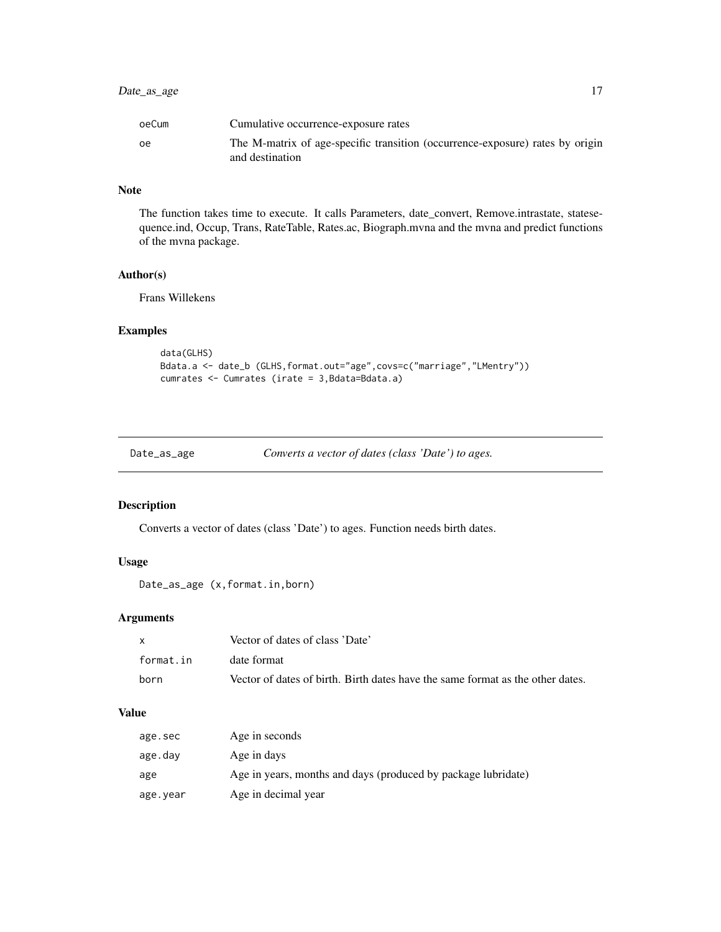## <span id="page-16-0"></span>Date\_as\_age 17

| oeCum | Cumulative occurrence-exposure rates                                                             |
|-------|--------------------------------------------------------------------------------------------------|
| ٥e    | The M-matrix of age-specific transition (occurrence-exposure) rates by origin<br>and destination |

## Note

The function takes time to execute. It calls Parameters, date\_convert, Remove.intrastate, statesequence.ind, Occup, Trans, RateTable, Rates.ac, Biograph.mvna and the mvna and predict functions of the mvna package.

## Author(s)

Frans Willekens

# Examples

```
data(GLHS)
Bdata.a <- date_b (GLHS,format.out="age",covs=c("marriage","LMentry"))
cumrates <- Cumrates (irate = 3,Bdata=Bdata.a)
```

| Date_as_age | Converts a vector of dates (class 'Date') to ages. |  |  |
|-------------|----------------------------------------------------|--|--|
|-------------|----------------------------------------------------|--|--|

# Description

Converts a vector of dates (class 'Date') to ages. Function needs birth dates.

## Usage

```
Date_as_age (x,format.in,born)
```
## Arguments

|           | Vector of dates of class 'Date'                                                |
|-----------|--------------------------------------------------------------------------------|
| format.in | date format                                                                    |
| born      | Vector of dates of birth. Birth dates have the same format as the other dates. |

# Value

| age.sec  | Age in seconds                                                |
|----------|---------------------------------------------------------------|
| age.day  | Age in days                                                   |
| age      | Age in years, months and days (produced by package lubridate) |
| age.year | Age in decimal year                                           |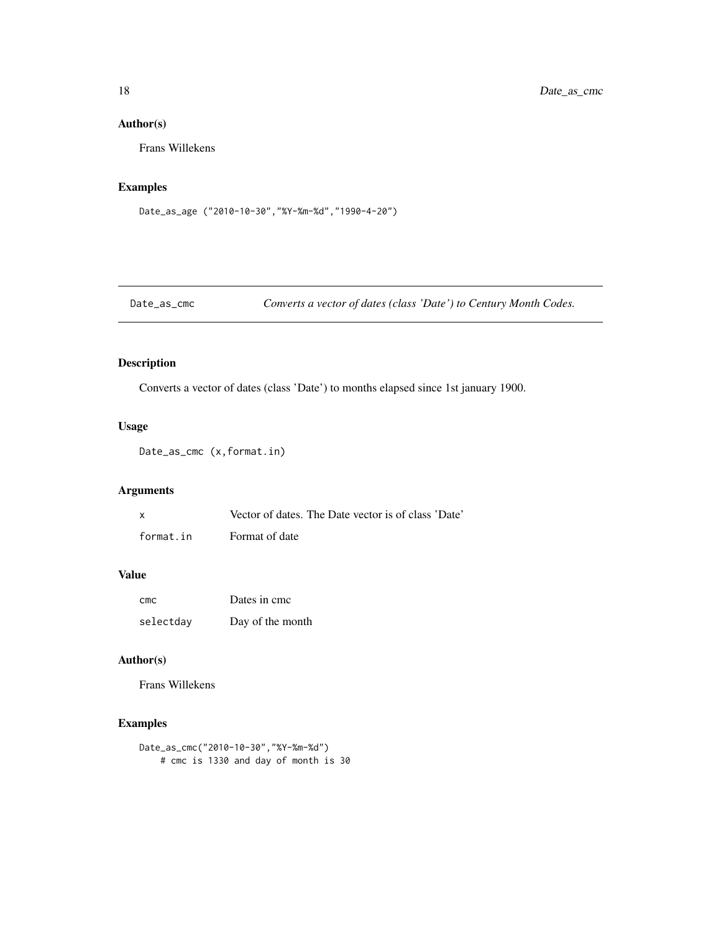# Author(s)

Frans Willekens

## Examples

```
Date_as_age ("2010-10-30","%Y-%m-%d","1990-4-20")
```

```
Date_as_cmc Converts a vector of dates (class 'Date') to Century Month Codes.
```
# Description

Converts a vector of dates (class 'Date') to months elapsed since 1st january 1900.

# Usage

Date\_as\_cmc (x,format.in)

## Arguments

| x         | Vector of dates. The Date vector is of class 'Date' |  |  |
|-----------|-----------------------------------------------------|--|--|
| format.in | Format of date                                      |  |  |

#### Value

| cmc       | Dates in cmc     |
|-----------|------------------|
| selectday | Day of the month |

# Author(s)

Frans Willekens

```
Date_as_cmc("2010-10-30","%Y-%m-%d")
   # cmc is 1330 and day of month is 30
```
<span id="page-17-0"></span>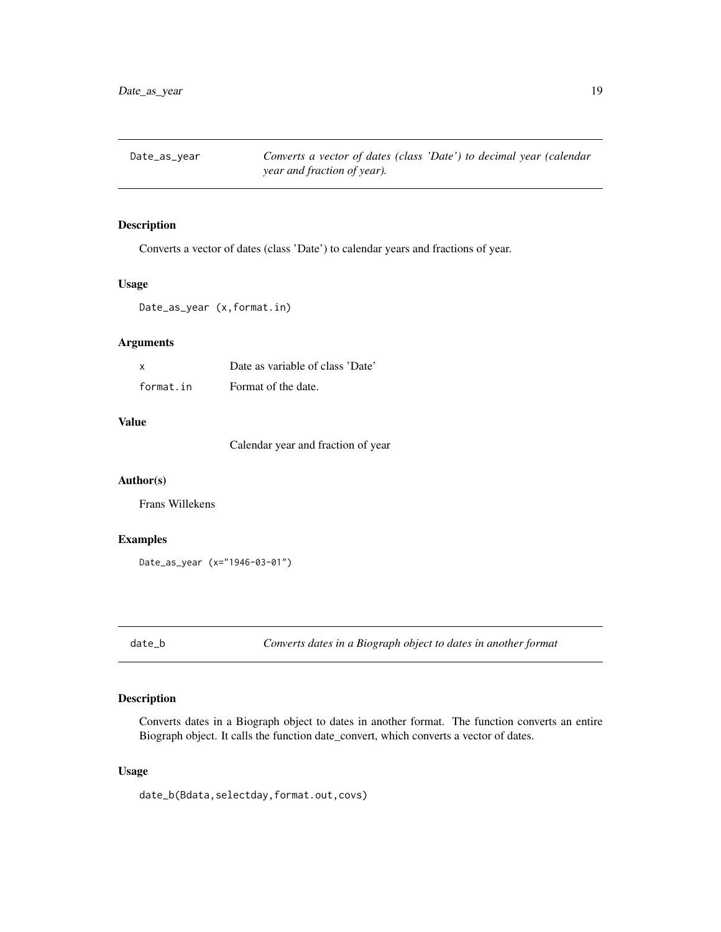<span id="page-18-0"></span>Date\_as\_year *Converts a vector of dates (class 'Date') to decimal year (calendar year and fraction of year).*

## Description

Converts a vector of dates (class 'Date') to calendar years and fractions of year.

## Usage

```
Date_as_year (x,format.in)
```
## Arguments

| X         | Date as variable of class 'Date' |
|-----------|----------------------------------|
| format.in | Format of the date.              |

## Value

Calendar year and fraction of year

## Author(s)

Frans Willekens

## Examples

Date\_as\_year (x="1946-03-01")

date\_b *Converts dates in a Biograph object to dates in another format*

## Description

Converts dates in a Biograph object to dates in another format. The function converts an entire Biograph object. It calls the function date\_convert, which converts a vector of dates.

## Usage

date\_b(Bdata,selectday,format.out,covs)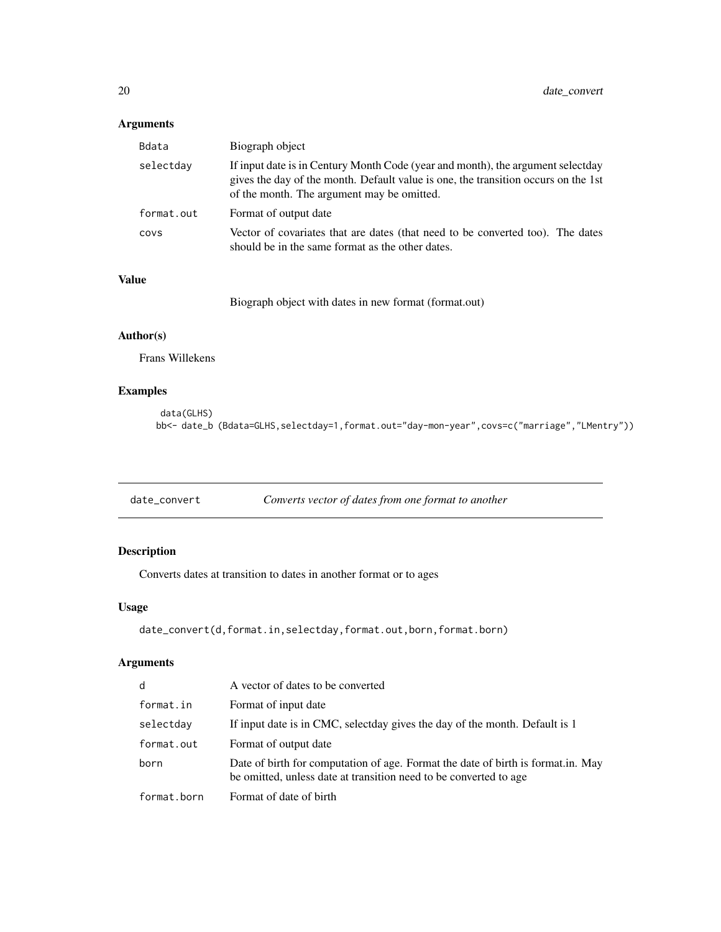# <span id="page-19-0"></span>Arguments

| Bdata      | Biograph object                                                                                                                                                                                                     |
|------------|---------------------------------------------------------------------------------------------------------------------------------------------------------------------------------------------------------------------|
| selectday  | If input date is in Century Month Code (year and month), the argument selectday<br>gives the day of the month. Default value is one, the transition occurs on the 1st<br>of the month. The argument may be omitted. |
| format.out | Format of output date                                                                                                                                                                                               |
| COVS       | Vector of covariates that are dates (that need to be converted too). The dates<br>should be in the same format as the other dates.                                                                                  |

# Value

Biograph object with dates in new format (format.out)

## Author(s)

Frans Willekens

## Examples

```
data(GLHS)
bb<- date_b (Bdata=GLHS,selectday=1,format.out="day-mon-year",covs=c("marriage","LMentry"))
```

| Converts vector of dates from one format to another<br>date_convert |
|---------------------------------------------------------------------|
|---------------------------------------------------------------------|

# Description

Converts dates at transition to dates in another format or to ages

## Usage

```
date_convert(d,format.in,selectday,format.out,born,format.born)
```
## Arguments

| d.          | A vector of dates to be converted                                                                                                                     |
|-------------|-------------------------------------------------------------------------------------------------------------------------------------------------------|
| format.in   | Format of input date                                                                                                                                  |
| selectday   | If input date is in CMC, selectday gives the day of the month. Default is 1                                                                           |
| format.out  | Format of output date                                                                                                                                 |
| born        | Date of birth for computation of age. Format the date of birth is format.in. May<br>be omitted, unless date at transition need to be converted to age |
| format.born | Format of date of birth                                                                                                                               |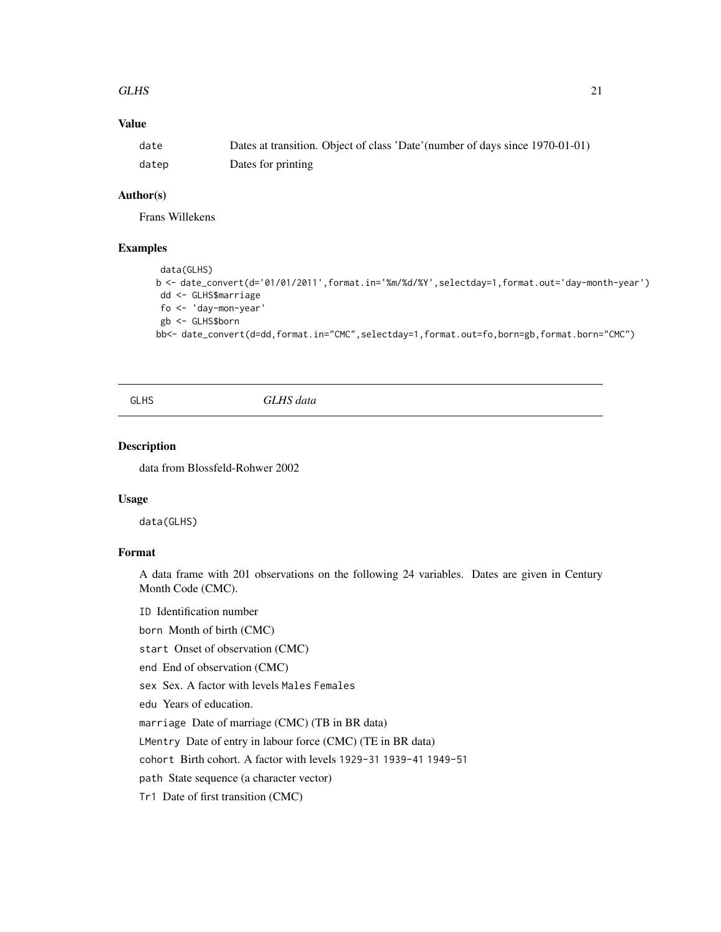#### <span id="page-20-0"></span>GLHS  $21$

## Value

| date  | Dates at transition. Object of class 'Date' (number of days since 1970-01-01) |
|-------|-------------------------------------------------------------------------------|
| datep | Dates for printing                                                            |

#### Author(s)

Frans Willekens

#### Examples

```
data(GLHS)
b <- date_convert(d='01/01/2011',format.in='%m/%d/%Y',selectday=1,format.out='day-month-year')
dd <- GLHS$marriage
fo <- 'day-mon-year'
gb <- GLHS$born
bb<- date_convert(d=dd,format.in="CMC",selectday=1,format.out=fo,born=gb,format.born="CMC")
```
GLHS *GLHS data*

## Description

data from Blossfeld-Rohwer 2002

#### Usage

data(GLHS)

## Format

A data frame with 201 observations on the following 24 variables. Dates are given in Century Month Code (CMC).

ID Identification number

born Month of birth (CMC)

start Onset of observation (CMC)

end End of observation (CMC)

sex Sex. A factor with levels Males Females

edu Years of education.

marriage Date of marriage (CMC) (TB in BR data)

LMentry Date of entry in labour force (CMC) (TE in BR data)

cohort Birth cohort. A factor with levels 1929-31 1939-41 1949-51

path State sequence (a character vector)

Tr1 Date of first transition (CMC)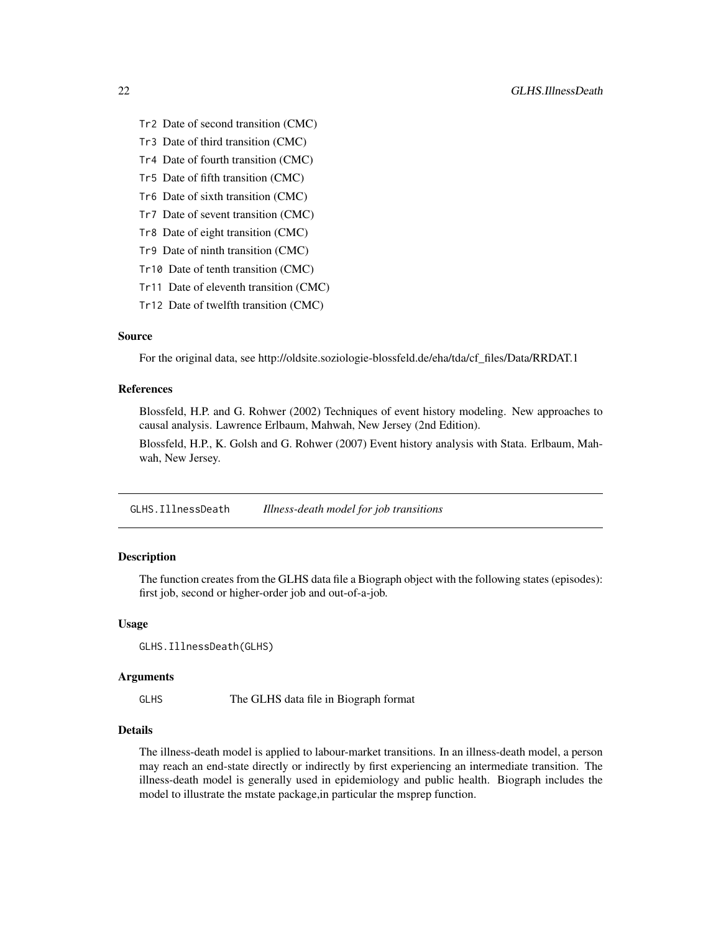- <span id="page-21-0"></span>Tr2 Date of second transition (CMC)
- Tr3 Date of third transition (CMC)
- Tr4 Date of fourth transition (CMC)
- Tr5 Date of fifth transition (CMC)
- Tr6 Date of sixth transition (CMC)
- Tr7 Date of sevent transition (CMC)
- Tr8 Date of eight transition (CMC)
- Tr9 Date of ninth transition (CMC)
- Tr10 Date of tenth transition (CMC)
- Tr11 Date of eleventh transition (CMC)
- Tr12 Date of twelfth transition (CMC)

# Source

For the original data, see http://oldsite.soziologie-blossfeld.de/eha/tda/cf\_files/Data/RRDAT.1

#### References

Blossfeld, H.P. and G. Rohwer (2002) Techniques of event history modeling. New approaches to causal analysis. Lawrence Erlbaum, Mahwah, New Jersey (2nd Edition).

Blossfeld, H.P., K. Golsh and G. Rohwer (2007) Event history analysis with Stata. Erlbaum, Mahwah, New Jersey.

GLHS.IllnessDeath *Illness-death model for job transitions*

# **Description**

The function creates from the GLHS data file a Biograph object with the following states (episodes): first job, second or higher-order job and out-of-a-job.

#### Usage

```
GLHS.IllnessDeath(GLHS)
```
#### Arguments

GLHS The GLHS data file in Biograph format

#### Details

The illness-death model is applied to labour-market transitions. In an illness-death model, a person may reach an end-state directly or indirectly by first experiencing an intermediate transition. The illness-death model is generally used in epidemiology and public health. Biograph includes the model to illustrate the mstate package,in particular the msprep function.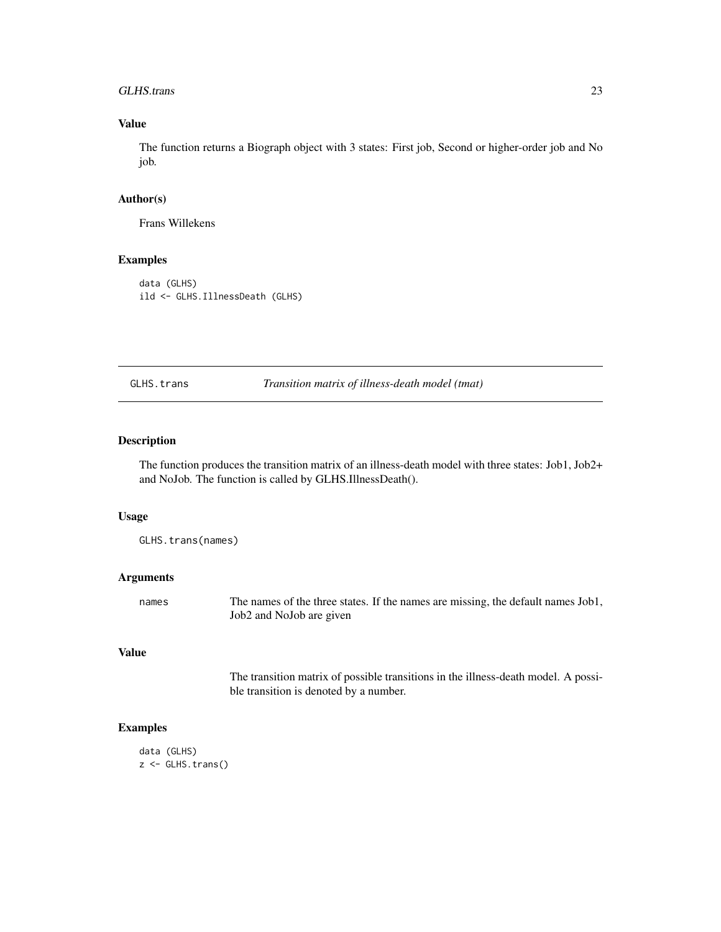#### <span id="page-22-0"></span>GLHS.trans 23

# Value

The function returns a Biograph object with 3 states: First job, Second or higher-order job and No job.

#### Author(s)

Frans Willekens

## Examples

data (GLHS) ild <- GLHS.IllnessDeath (GLHS)

GLHS.trans *Transition matrix of illness-death model (tmat)*

## Description

The function produces the transition matrix of an illness-death model with three states: Job1, Job2+ and NoJob. The function is called by GLHS.IllnessDeath().

#### Usage

GLHS.trans(names)

#### Arguments

names The names of the three states. If the names are missing, the default names Job1, Job2 and NoJob are given

## Value

The transition matrix of possible transitions in the illness-death model. A possible transition is denoted by a number.

```
data (GLHS)
z <- GLHS.trans()
```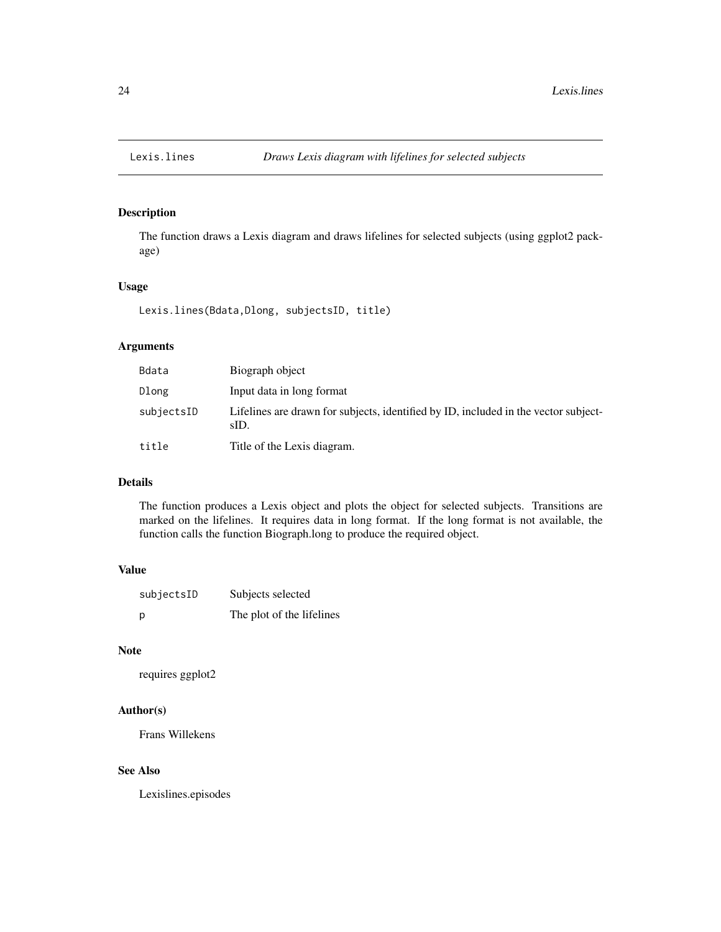<span id="page-23-0"></span>

The function draws a Lexis diagram and draws lifelines for selected subjects (using ggplot2 package)

## Usage

Lexis.lines(Bdata,Dlong, subjectsID, title)

## Arguments

| Bdata      | Biograph object                                                                             |
|------------|---------------------------------------------------------------------------------------------|
| Dlong      | Input data in long format                                                                   |
| subjectsID | Lifelines are drawn for subjects, identified by ID, included in the vector subject-<br>sID. |
| title      | Title of the Lexis diagram.                                                                 |

## Details

The function produces a Lexis object and plots the object for selected subjects. Transitions are marked on the lifelines. It requires data in long format. If the long format is not available, the function calls the function Biograph.long to produce the required object.

# Value

| subjectsID | Subjects selected         |
|------------|---------------------------|
| p          | The plot of the lifelines |

#### Note

requires ggplot2

## Author(s)

Frans Willekens

## See Also

Lexislines.episodes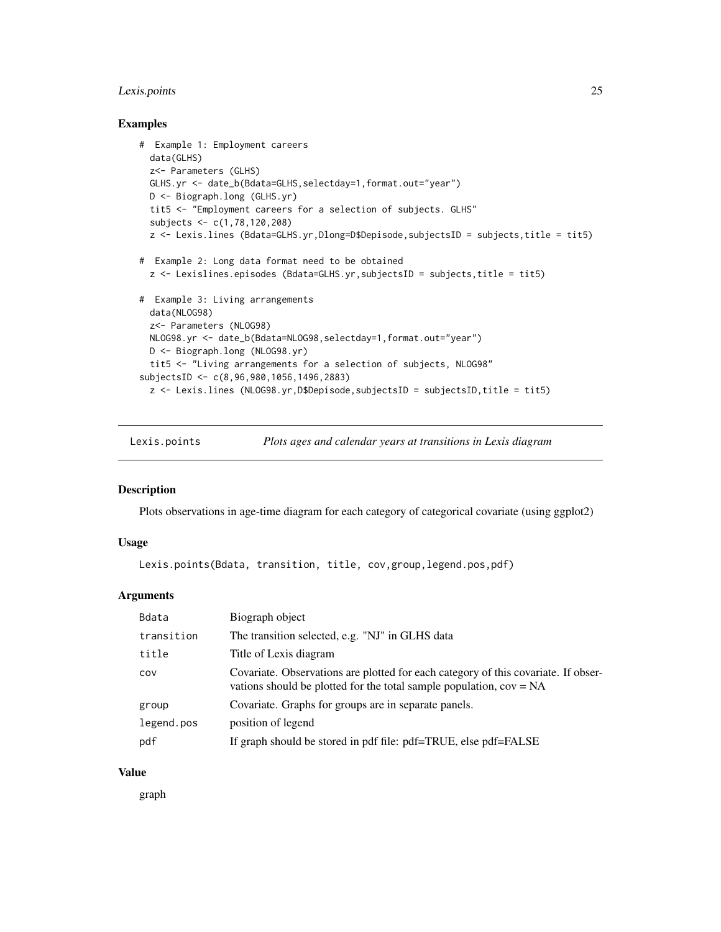# <span id="page-24-0"></span>Lexis.points 25

#### Examples

```
# Example 1: Employment careers
 data(GLHS)
 z<- Parameters (GLHS)
 GLHS.yr <- date_b(Bdata=GLHS,selectday=1,format.out="year")
 D <- Biograph.long (GLHS.yr)
 tit5 <- "Employment careers for a selection of subjects. GLHS"
 subjects <- c(1,78,120,208)
 z <- Lexis.lines (Bdata=GLHS.yr,Dlong=D$Depisode,subjectsID = subjects,title = tit5)
# Example 2: Long data format need to be obtained
 z <- Lexislines.episodes (Bdata=GLHS.yr,subjectsID = subjects,title = tit5)
# Example 3: Living arrangements
 data(NLOG98)
 z<- Parameters (NLOG98)
 NLOG98.yr <- date_b(Bdata=NLOG98,selectday=1,format.out="year")
 D <- Biograph.long (NLOG98.yr)
 tit5 <- "Living arrangements for a selection of subjects, NLOG98"
subjectsID <- c(8,96,980,1056,1496,2883)
 z <- Lexis.lines (NLOG98.yr,D$Depisode,subjectsID = subjectsID,title = tit5)
```
Lexis.points *Plots ages and calendar years at transitions in Lexis diagram*

#### Description

Plots observations in age-time diagram for each category of categorical covariate (using ggplot2)

#### Usage

Lexis.points(Bdata, transition, title, cov,group,legend.pos,pdf)

#### Arguments

| Bdata      | Biograph object                                                                                                                                             |
|------------|-------------------------------------------------------------------------------------------------------------------------------------------------------------|
| transition | The transition selected, e.g. "NJ" in GLHS data                                                                                                             |
| title      | Title of Lexis diagram                                                                                                                                      |
| COV        | Covariate. Observations are plotted for each category of this covariate. If obser-<br>vations should be plotted for the total sample population, $cov = NA$ |
| group      | Covariate. Graphs for groups are in separate panels.                                                                                                        |
| legend.pos | position of legend                                                                                                                                          |
| pdf        | If graph should be stored in pdf file: pdf=TRUE, else pdf=FALSE                                                                                             |

## Value

graph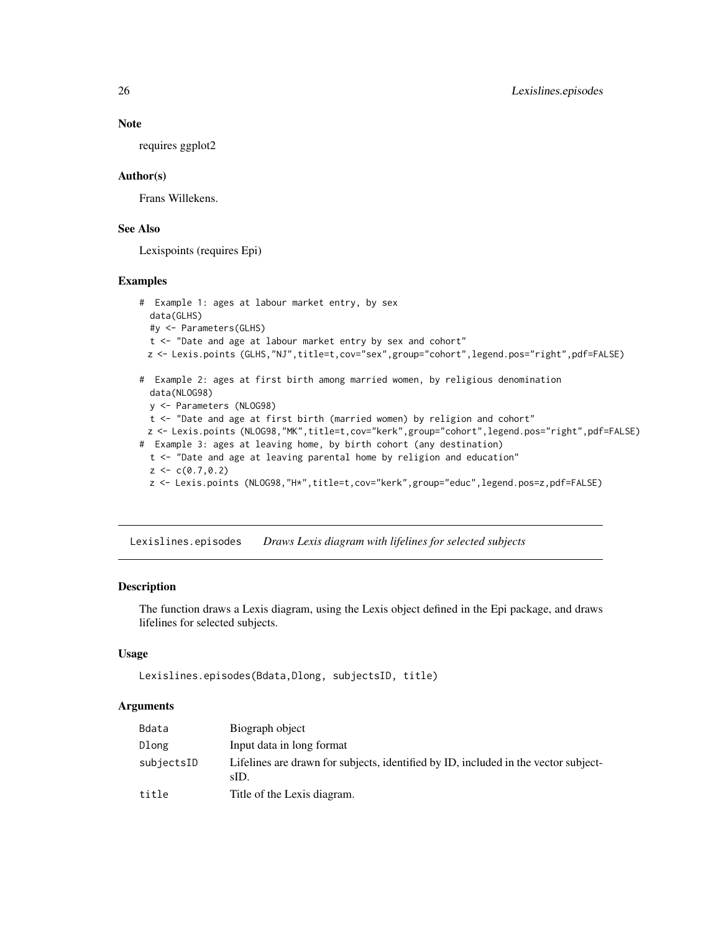#### Note

requires ggplot2

## Author(s)

Frans Willekens.

# See Also

Lexispoints (requires Epi)

#### Examples

```
# Example 1: ages at labour market entry, by sex
 data(GLHS)
 #y <- Parameters(GLHS)
 t <- "Date and age at labour market entry by sex and cohort"
 z <- Lexis.points (GLHS,"NJ",title=t,cov="sex",group="cohort",legend.pos="right",pdf=FALSE)
# Example 2: ages at first birth among married women, by religious denomination
 data(NLOG98)
 y <- Parameters (NLOG98)
 t <- "Date and age at first birth (married women) by religion and cohort"
 z <- Lexis.points (NLOG98,"MK",title=t,cov="kerk",group="cohort",legend.pos="right",pdf=FALSE)
# Example 3: ages at leaving home, by birth cohort (any destination)
 t <- "Date and age at leaving parental home by religion and education"
 z < -c(0.7, 0.2)z <- Lexis.points (NLOG98,"H*",title=t,cov="kerk",group="educ",legend.pos=z,pdf=FALSE)
```
Lexislines.episodes *Draws Lexis diagram with lifelines for selected subjects*

## **Description**

The function draws a Lexis diagram, using the Lexis object defined in the Epi package, and draws lifelines for selected subjects.

## Usage

```
Lexislines.episodes(Bdata,Dlong, subjectsID, title)
```
## Arguments

| Bdata      | Biograph object                                                                             |
|------------|---------------------------------------------------------------------------------------------|
| Dlong      | Input data in long format                                                                   |
| subjectsID | Lifelines are drawn for subjects, identified by ID, included in the vector subject-<br>sID. |
| title      | Title of the Lexis diagram.                                                                 |

<span id="page-25-0"></span>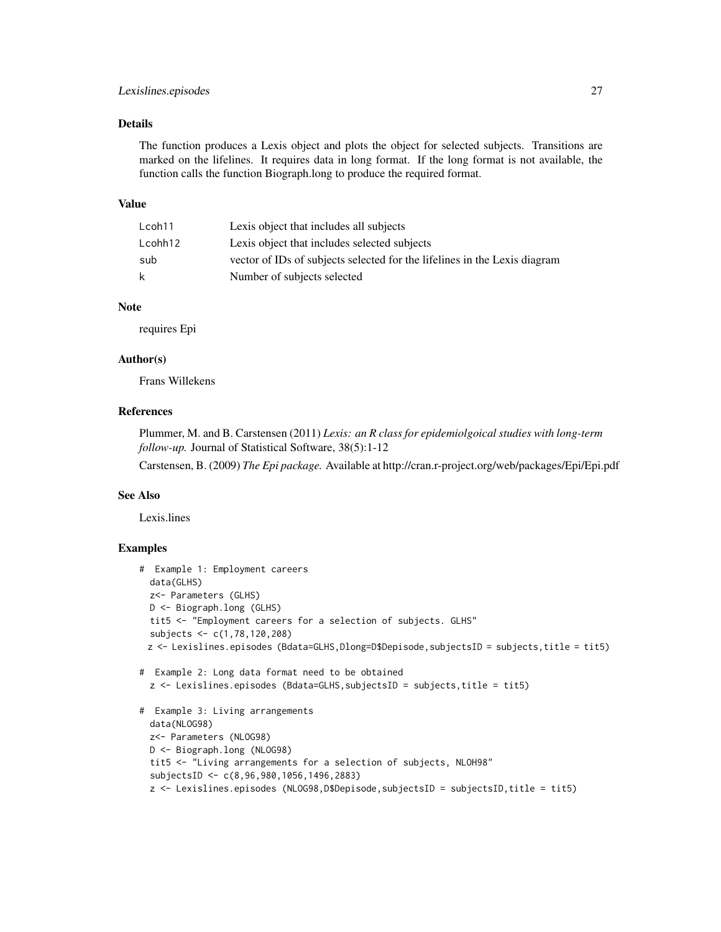## Lexislines.episodes 27

## Details

The function produces a Lexis object and plots the object for selected subjects. Transitions are marked on the lifelines. It requires data in long format. If the long format is not available, the function calls the function Biograph.long to produce the required format.

#### Value

| Lcoh11  | Lexis object that includes all subjects                                   |
|---------|---------------------------------------------------------------------------|
| Lcohh12 | Lexis object that includes selected subjects                              |
| sub     | vector of IDs of subjects selected for the lifelines in the Lexis diagram |
| k       | Number of subjects selected                                               |

#### Note

requires Epi

## Author(s)

Frans Willekens

## References

Plummer, M. and B. Carstensen (2011) *Lexis: an R class for epidemiolgoical studies with long-term follow-up.* Journal of Statistical Software, 38(5):1-12

Carstensen, B. (2009) *The Epi package.* Available at http://cran.r-project.org/web/packages/Epi/Epi.pdf

## See Also

Lexis.lines

```
# Example 1: Employment careers
 data(GLHS)
 z<- Parameters (GLHS)
 D <- Biograph.long (GLHS)
 tit5 <- "Employment careers for a selection of subjects. GLHS"
 subjects <- c(1,78,120,208)
 z <- Lexislines.episodes (Bdata=GLHS,Dlong=D$Depisode,subjectsID = subjects,title = tit5)
# Example 2: Long data format need to be obtained
 z <- Lexislines.episodes (Bdata=GLHS,subjectsID = subjects,title = tit5)
# Example 3: Living arrangements
 data(NLOG98)
 z<- Parameters (NLOG98)
 D <- Biograph.long (NLOG98)
 tit5 <- "Living arrangements for a selection of subjects, NLOH98"
 subjectsID <- c(8,96,980,1056,1496,2883)
```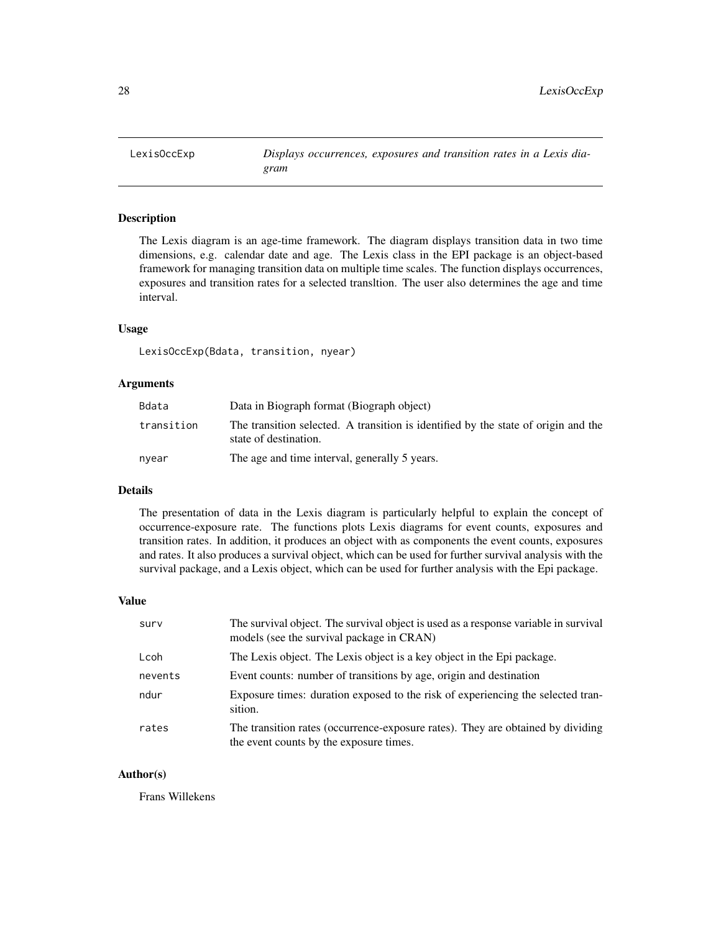<span id="page-27-0"></span>

The Lexis diagram is an age-time framework. The diagram displays transition data in two time dimensions, e.g. calendar date and age. The Lexis class in the EPI package is an object-based framework for managing transition data on multiple time scales. The function displays occurrences, exposures and transition rates for a selected transltion. The user also determines the age and time interval.

#### Usage

LexisOccExp(Bdata, transition, nyear)

#### Arguments

| Bdata      | Data in Biograph format (Biograph object)                                                                   |
|------------|-------------------------------------------------------------------------------------------------------------|
| transition | The transition selected. A transition is identified by the state of origin and the<br>state of destination. |
| nyear      | The age and time interval, generally 5 years.                                                               |

#### Details

The presentation of data in the Lexis diagram is particularly helpful to explain the concept of occurrence-exposure rate. The functions plots Lexis diagrams for event counts, exposures and transition rates. In addition, it produces an object with as components the event counts, exposures and rates. It also produces a survival object, which can be used for further survival analysis with the survival package, and a Lexis object, which can be used for further analysis with the Epi package.

#### Value

| surv    | The survival object. The survival object is used as a response variable in survival<br>models (see the survival package in CRAN) |
|---------|----------------------------------------------------------------------------------------------------------------------------------|
| Lcoh    | The Lexis object. The Lexis object is a key object in the Epi package.                                                           |
| nevents | Event counts: number of transitions by age, origin and destination                                                               |
| ndur    | Exposure times: duration exposed to the risk of experiencing the selected tran-<br>sition.                                       |
| rates   | The transition rates (occurrence-exposure rates). They are obtained by dividing<br>the event counts by the exposure times.       |

#### Author(s)

Frans Willekens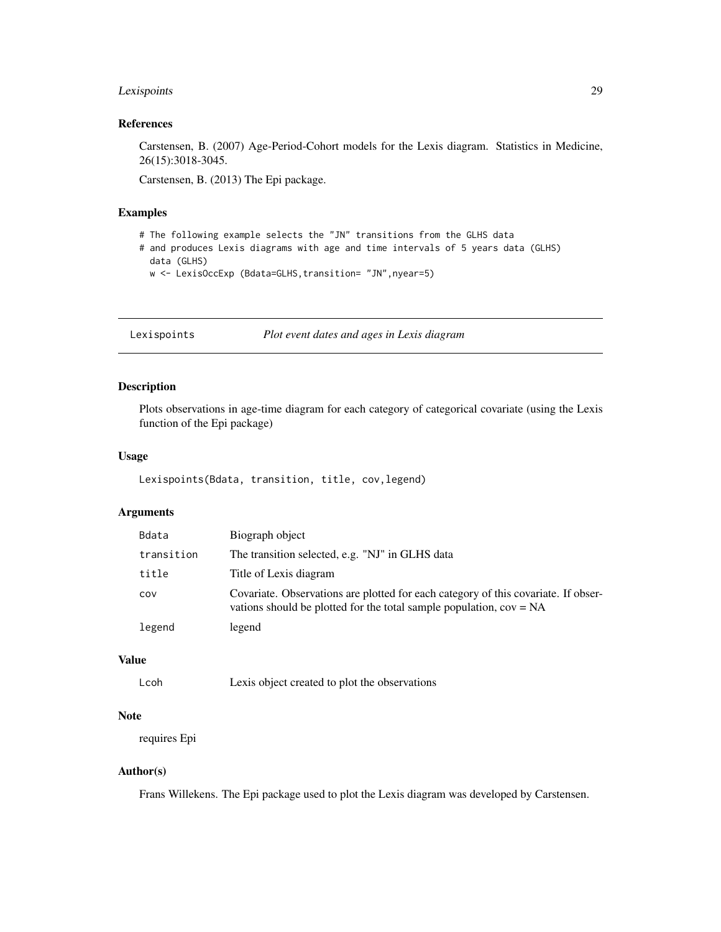## <span id="page-28-0"></span>Lexispoints 29

## References

Carstensen, B. (2007) Age-Period-Cohort models for the Lexis diagram. Statistics in Medicine, 26(15):3018-3045.

Carstensen, B. (2013) The Epi package.

## Examples

- # The following example selects the "JN" transitions from the GLHS data
- # and produces Lexis diagrams with age and time intervals of 5 years data (GLHS) data (GLHS)
	- w <- LexisOccExp (Bdata=GLHS, transition= "JN", nyear=5)

Lexispoints *Plot event dates and ages in Lexis diagram*

## Description

Plots observations in age-time diagram for each category of categorical covariate (using the Lexis function of the Epi package)

#### Usage

Lexispoints(Bdata, transition, title, cov,legend)

## Arguments

| Bdata      | Biograph object                                                                                                                                             |
|------------|-------------------------------------------------------------------------------------------------------------------------------------------------------------|
| transition | The transition selected, e.g. "NJ" in GLHS data                                                                                                             |
| title      | Title of Lexis diagram                                                                                                                                      |
| COV        | Covariate. Observations are plotted for each category of this covariate. If obser-<br>vations should be plotted for the total sample population, $cov = NA$ |
| legend     | legend                                                                                                                                                      |

# Value

```
Lcoh Lexis object created to plot the observations
```
## Note

requires Epi

## Author(s)

Frans Willekens. The Epi package used to plot the Lexis diagram was developed by Carstensen.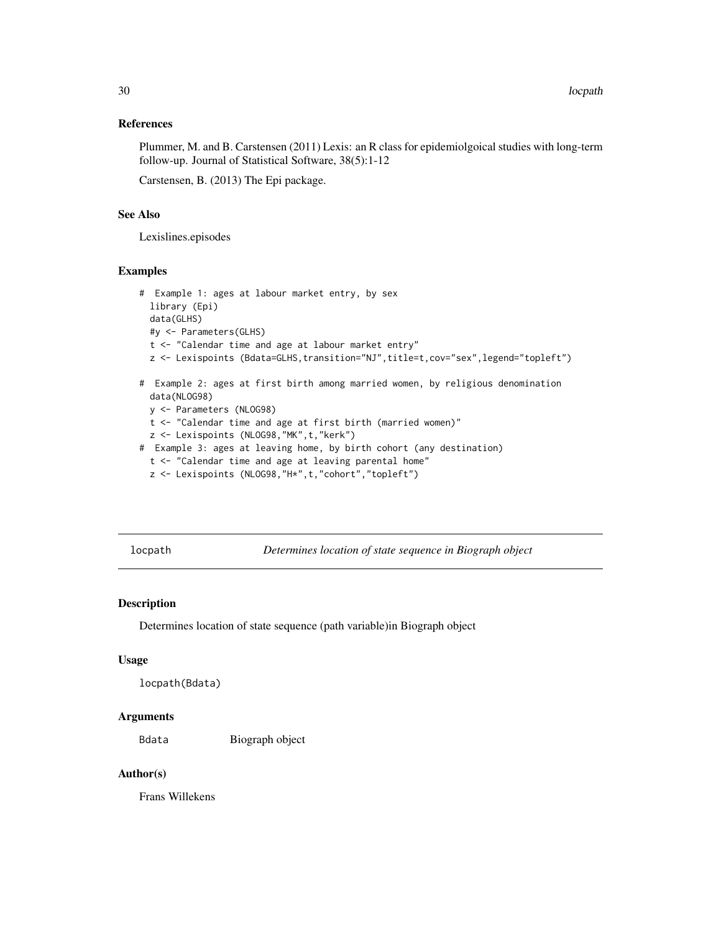#### <span id="page-29-0"></span>References

Plummer, M. and B. Carstensen (2011) Lexis: an R class for epidemiolgoical studies with long-term follow-up. Journal of Statistical Software, 38(5):1-12

Carstensen, B. (2013) The Epi package.

#### See Also

Lexislines.episodes

## Examples

```
# Example 1: ages at labour market entry, by sex
 library (Epi)
 data(GLHS)
 #y <- Parameters(GLHS)
 t <- "Calendar time and age at labour market entry"
 z <- Lexispoints (Bdata=GLHS,transition="NJ",title=t,cov="sex",legend="topleft")
# Example 2: ages at first birth among married women, by religious denomination
 data(NLOG98)
 y <- Parameters (NLOG98)
 t <- "Calendar time and age at first birth (married women)"
 z <- Lexispoints (NLOG98,"MK",t,"kerk")
# Example 3: ages at leaving home, by birth cohort (any destination)
 t <- "Calendar time and age at leaving parental home"
 z <- Lexispoints (NLOG98,"H*",t,"cohort","topleft")
```
locpath *Determines location of state sequence in Biograph object*

## Description

Determines location of state sequence (path variable)in Biograph object

#### Usage

```
locpath(Bdata)
```
## Arguments

Bdata Biograph object

## Author(s)

Frans Willekens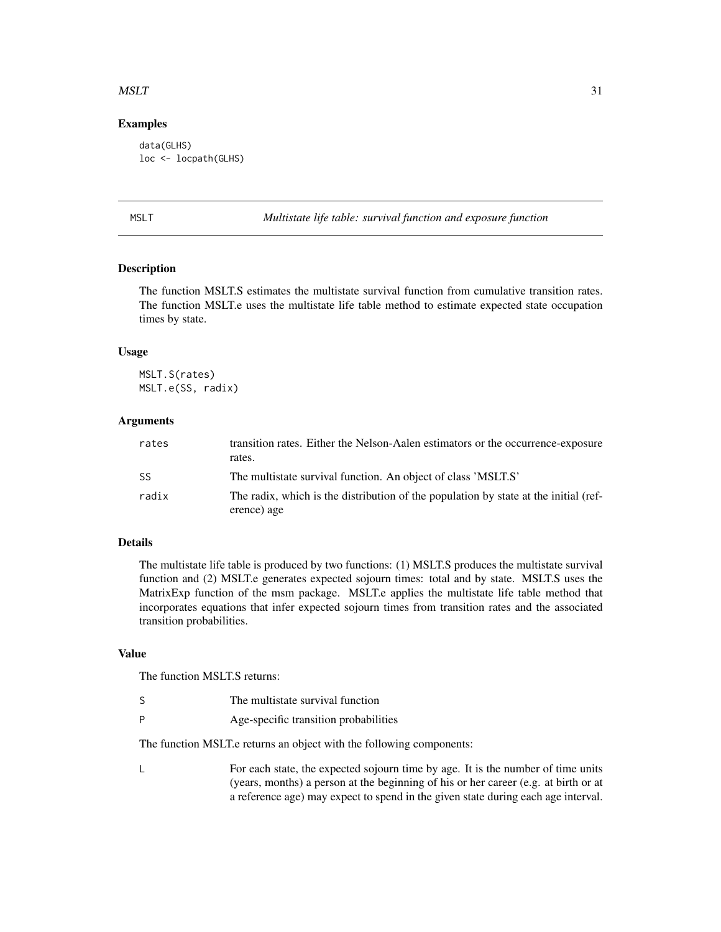#### <span id="page-30-0"></span> $MSLT$  31

## Examples

data(GLHS) loc <- locpath(GLHS)

MSLT *Multistate life table: survival function and exposure function*

## <span id="page-30-1"></span>Description

The function MSLT.S estimates the multistate survival function from cumulative transition rates. The function MSLT.e uses the multistate life table method to estimate expected state occupation times by state.

#### Usage

MSLT.S(rates) MSLT.e(SS, radix)

## Arguments

| rates | transition rates. Either the Nelson-Aalen estimators or the occurrence-exposure<br>rates.           |
|-------|-----------------------------------------------------------------------------------------------------|
| SS    | The multistate survival function. An object of class 'MSLT.S'                                       |
| radix | The radix, which is the distribution of the population by state at the initial (ref-<br>erence) age |

## Details

The multistate life table is produced by two functions: (1) MSLT.S produces the multistate survival function and (2) MSLT.e generates expected sojourn times: total and by state. MSLT.S uses the MatrixExp function of the msm package. MSLT.e applies the multistate life table method that incorporates equations that infer expected sojourn times from transition rates and the associated transition probabilities.

## Value

The function MSLT.S returns:

- S The multistate survival function
- P Age-specific transition probabilities

The function MSLT.e returns an object with the following components:

L For each state, the expected sojourn time by age. It is the number of time units (years, months) a person at the beginning of his or her career (e.g. at birth or at a reference age) may expect to spend in the given state during each age interval.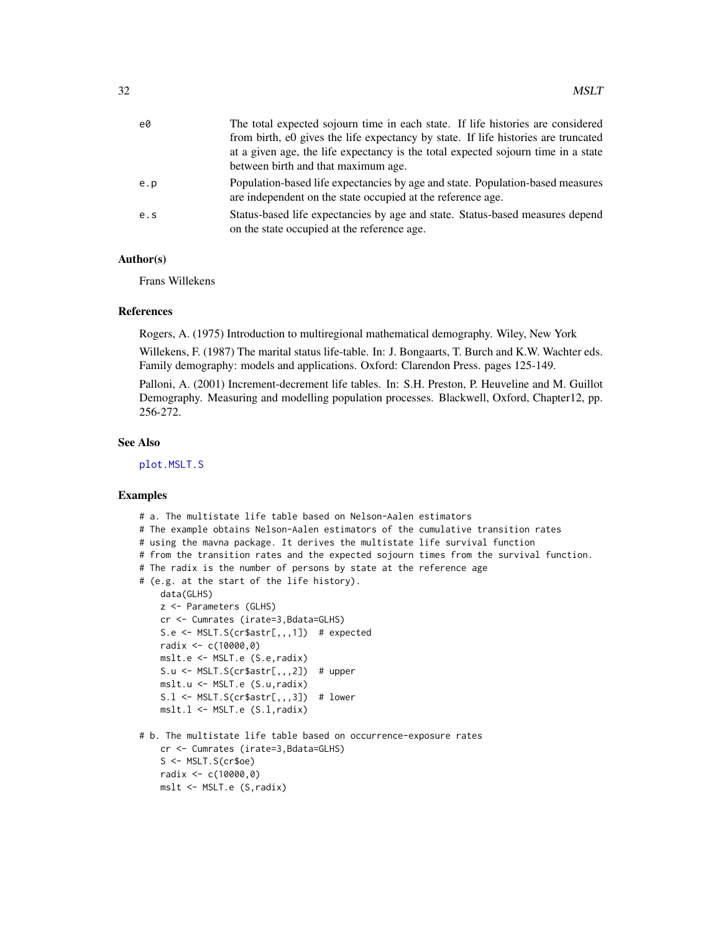<span id="page-31-0"></span>

| e0  | The total expected sojourn time in each state. If life histories are considered                                                               |
|-----|-----------------------------------------------------------------------------------------------------------------------------------------------|
|     | from birth, e0 gives the life expectancy by state. If life histories are truncated                                                            |
|     | at a given age, the life expectancy is the total expected sojourn time in a state                                                             |
|     | between birth and that maximum age.                                                                                                           |
| e.p | Population-based life expectancies by age and state. Population-based measures<br>are independent on the state occupied at the reference age. |
| e.s | Status-based life expectancies by age and state. Status-based measures depend<br>on the state occupied at the reference age.                  |

## Author(s)

Frans Willekens

#### References

Rogers, A. (1975) Introduction to multiregional mathematical demography. Wiley, New York

Willekens, F. (1987) The marital status life-table. In: J. Bongaarts, T. Burch and K.W. Wachter eds. Family demography: models and applications. Oxford: Clarendon Press. pages 125-149.

Palloni, A. (2001) Increment-decrement life tables. In: S.H. Preston, P. Heuveline and M. Guillot Demography. Measuring and modelling population processes. Blackwell, Oxford, Chapter12, pp. 256-272.

## See Also

[plot.MSLT.S](#page-39-1)

## Examples

- # a. The multistate life table based on Nelson-Aalen estimators
- # The example obtains Nelson-Aalen estimators of the cumulative transition rates
- # using the mavna package. It derives the multistate life survival function
- # from the transition rates and the expected sojourn times from the survival function.
- # The radix is the number of persons by state at the reference age
- # (e.g. at the start of the life history).

```
data(GLHS)
z <- Parameters (GLHS)
cr <- Cumrates (irate=3,Bdata=GLHS)
S.e <- MSLT.S(cr$astr[,,,1]) # expected
radix <- c(10000,0)
mslt.e <- MSLT.e (S.e,radix)
S.u \leq MSLT.S(cr$astr[,,,2]) # upper
mslt.u <- MSLT.e (S.u,radix)
```

```
S.1 <- MSLT.S(cr$astr[,,,3]) # lower
mslt.l <- MSLT.e (S.l,radix)
```
# b. The multistate life table based on occurrence-exposure rates cr <- Cumrates (irate=3,Bdata=GLHS) S <- MSLT.S(cr\$oe) radix <- c(10000,0) mslt <- MSLT.e (S,radix)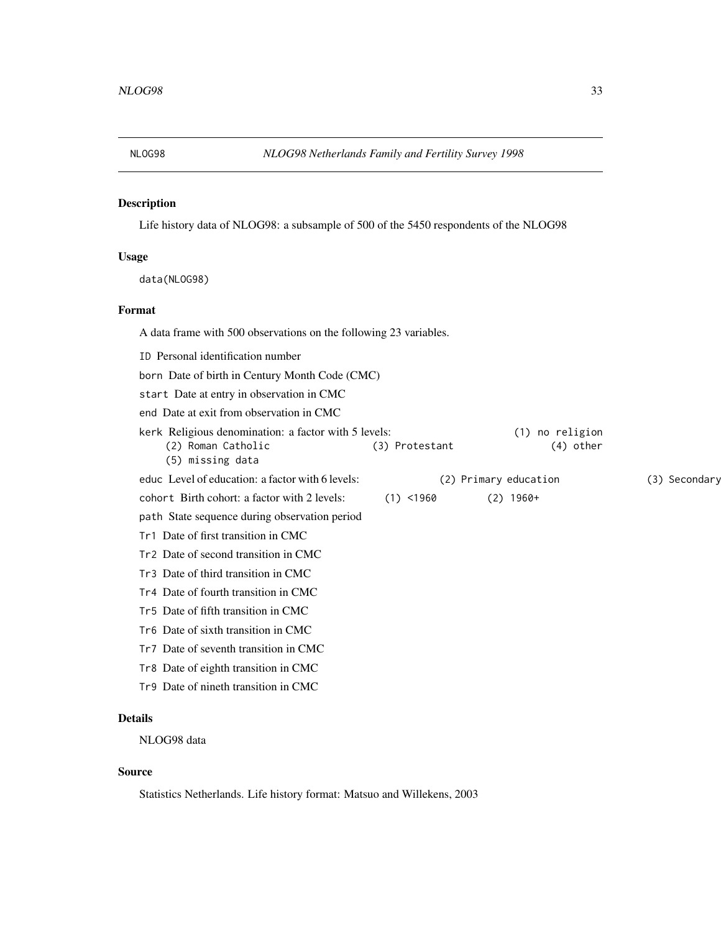<span id="page-32-0"></span>

Life history data of NLOG98: a subsample of 500 of the 5450 respondents of the NLOG98

#### Usage

data(NLOG98)

## Format

A data frame with 500 observations on the following 23 variables.

ID Personal identification number

born Date of birth in Century Month Code (CMC)

start Date at entry in observation in CMC

end Date at exit from observation in CMC

| kerk Religious denomination: a factor with 5 levels: |                | (1) no religion       |               |
|------------------------------------------------------|----------------|-----------------------|---------------|
| (2) Roman Catholic<br>(5) missing data               | (3) Protestant | (4) other             |               |
| educ Level of education: a factor with 6 levels:     |                | (2) Primary education | (3) Secondary |
| cohort Birth cohort: a factor with 2 levels:         | $(1)$ <1960    | $(2)$ 1960+           |               |
| path State sequence during observation period        |                |                       |               |
| Tr1 Date of first transition in CMC                  |                |                       |               |
| Tr2 Date of second transition in CMC                 |                |                       |               |
| Tr3 Date of third transition in CMC                  |                |                       |               |

Tr4 Date of fourth transition in CMC

- Tr5 Date of fifth transition in CMC
- Tr6 Date of sixth transition in CMC
- Tr7 Date of seventh transition in CMC
- Tr8 Date of eighth transition in CMC
- Tr9 Date of nineth transition in CMC

## Details

NLOG98 data

## Source

Statistics Netherlands. Life history format: Matsuo and Willekens, 2003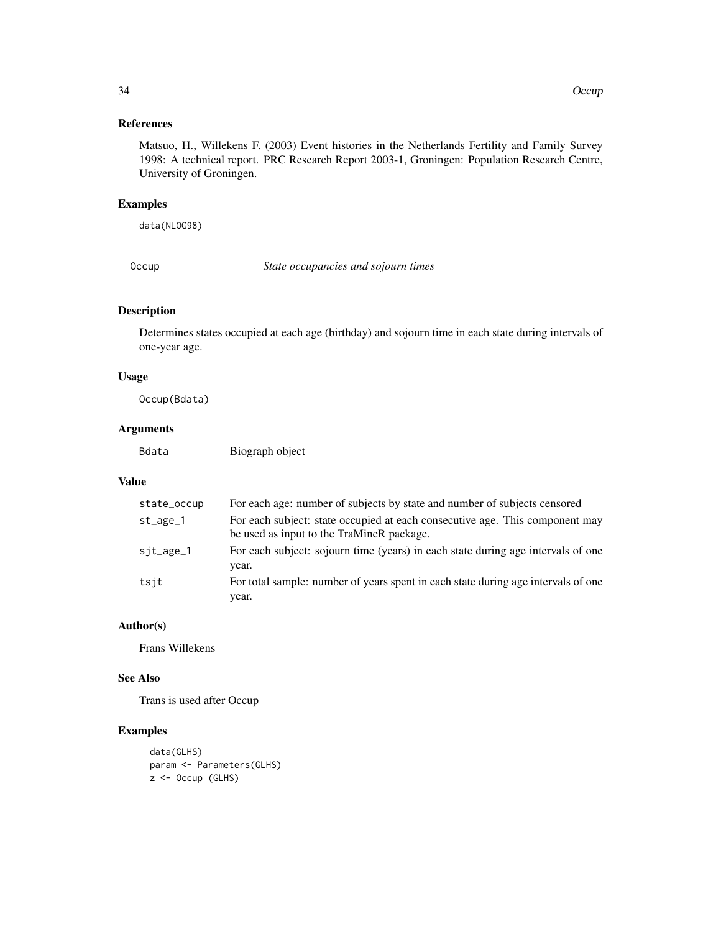## <span id="page-33-0"></span>References

Matsuo, H., Willekens F. (2003) Event histories in the Netherlands Fertility and Family Survey 1998: A technical report. PRC Research Report 2003-1, Groningen: Population Research Centre, University of Groningen.

#### Examples

data(NLOG98)

<span id="page-33-1"></span>Occup *State occupancies and sojourn times*

## Description

Determines states occupied at each age (birthday) and sojourn time in each state during intervals of one-year age.

## Usage

Occup(Bdata)

## Arguments

Bdata Biograph object

#### Value

| state_occup | For each age: number of subjects by state and number of subjects censored                                                 |
|-------------|---------------------------------------------------------------------------------------------------------------------------|
| $st_$       | For each subject: state occupied at each consecutive age. This component may<br>be used as input to the TraMineR package. |
| $sjt_$      | For each subject: sojourn time (years) in each state during age intervals of one                                          |
| tsjt        | year.<br>For total sample: number of years spent in each state during age intervals of one                                |
|             | year.                                                                                                                     |

## Author(s)

Frans Willekens

## See Also

Trans is used after Occup

```
data(GLHS)
param <- Parameters(GLHS)
z <- Occup (GLHS)
```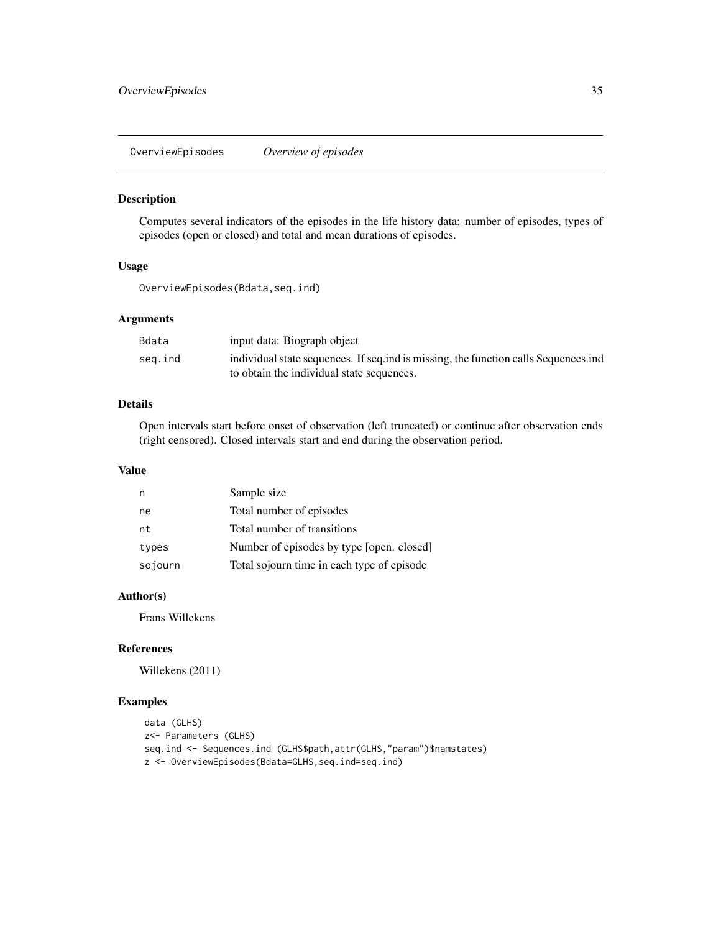<span id="page-34-0"></span>OverviewEpisodes *Overview of episodes*

#### Description

Computes several indicators of the episodes in the life history data: number of episodes, types of episodes (open or closed) and total and mean durations of episodes.

## Usage

OverviewEpisodes(Bdata,seq.ind)

## Arguments

| Bdata   | input data: Biograph object                                                          |
|---------|--------------------------------------------------------------------------------------|
| seg.ind | individual state sequences. If sequind is missing, the function calls Sequences, ind |
|         | to obtain the individual state sequences.                                            |

## Details

Open intervals start before onset of observation (left truncated) or continue after observation ends (right censored). Closed intervals start and end during the observation period.

## Value

| n       | Sample size                                |
|---------|--------------------------------------------|
| ne      | Total number of episodes                   |
| nt      | Total number of transitions                |
| types   | Number of episodes by type [open. closed]  |
| sojourn | Total sojourn time in each type of episode |

## Author(s)

Frans Willekens

## References

Willekens (2011)

```
data (GLHS)
z<- Parameters (GLHS)
seq.ind <- Sequences.ind (GLHS$path,attr(GLHS,"param")$namstates)
z <- OverviewEpisodes(Bdata=GLHS,seq.ind=seq.ind)
```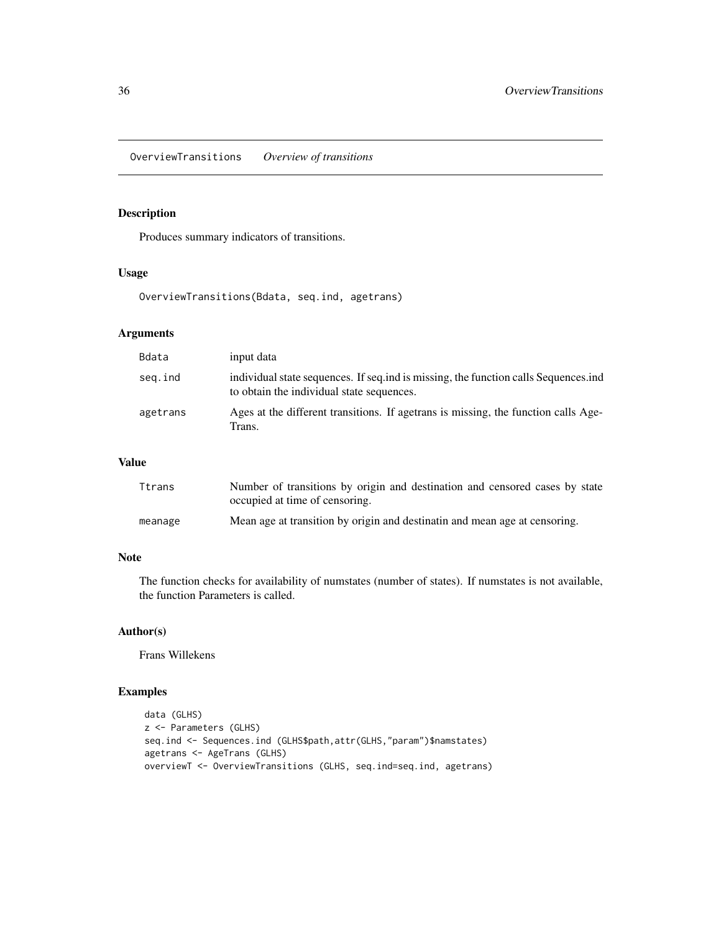<span id="page-35-0"></span>OverviewTransitions *Overview of transitions*

# Description

Produces summary indicators of transitions.

#### Usage

OverviewTransitions(Bdata, seq.ind, agetrans)

## Arguments

| Bdata    | input data                                                                                                                       |
|----------|----------------------------------------------------------------------------------------------------------------------------------|
| seg.ind  | individual state sequences. If seq.ind is missing, the function calls Sequences.ind<br>to obtain the individual state sequences. |
| agetrans | Ages at the different transitions. If agetrans is missing, the function calls Age-<br>Trans.                                     |

## Value

| Ttrans  | Number of transitions by origin and destination and censored cases by state<br>occupied at time of censoring. |
|---------|---------------------------------------------------------------------------------------------------------------|
| meanage | Mean age at transition by origin and destinatin and mean age at censoring.                                    |

# Note

The function checks for availability of numstates (number of states). If numstates is not available, the function Parameters is called.

## Author(s)

Frans Willekens

```
data (GLHS)
z <- Parameters (GLHS)
seq.ind <- Sequences.ind (GLHS$path,attr(GLHS,"param")$namstates)
agetrans <- AgeTrans (GLHS)
overviewT <- OverviewTransitions (GLHS, seq.ind=seq.ind, agetrans)
```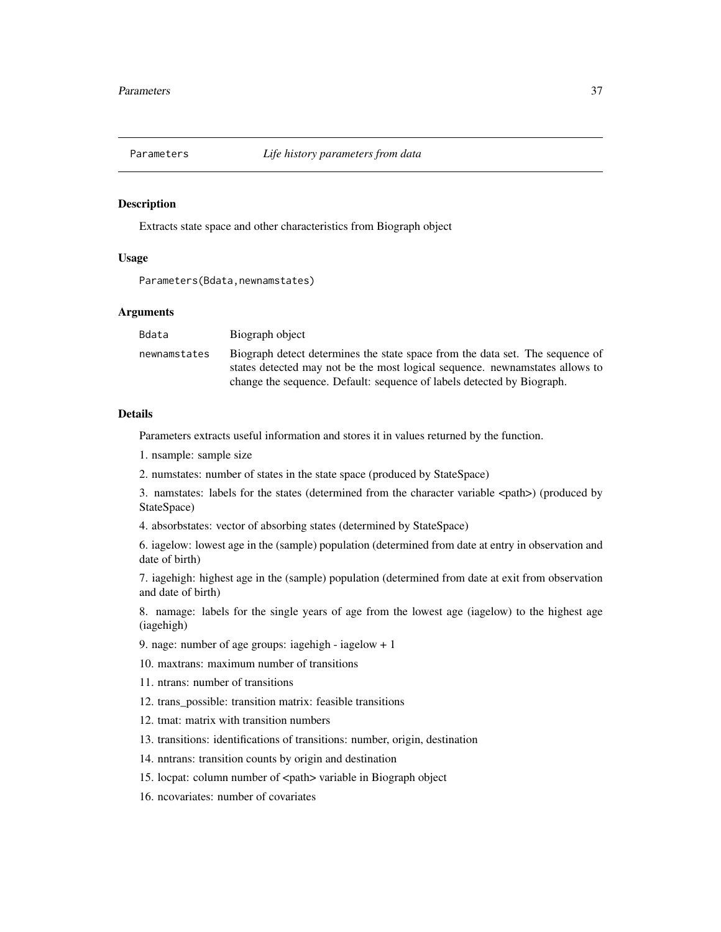<span id="page-36-0"></span>

Extracts state space and other characteristics from Biograph object

## Usage

```
Parameters(Bdata,newnamstates)
```
#### Arguments

| Bdata        | Biograph object                                                                                                                                               |
|--------------|---------------------------------------------------------------------------------------------------------------------------------------------------------------|
| newnamstates | Biograph detect determines the state space from the data set. The sequence of<br>states detected may not be the most logical sequence, newnamitates allows to |
|              | change the sequence. Default: sequence of labels detected by Biograph.                                                                                        |

## Details

Parameters extracts useful information and stores it in values returned by the function.

- 1. nsample: sample size
- 2. numstates: number of states in the state space (produced by StateSpace)

3. namstates: labels for the states (determined from the character variable <path>) (produced by StateSpace)

4. absorbstates: vector of absorbing states (determined by StateSpace)

6. iagelow: lowest age in the (sample) population (determined from date at entry in observation and date of birth)

7. iagehigh: highest age in the (sample) population (determined from date at exit from observation and date of birth)

8. namage: labels for the single years of age from the lowest age (iagelow) to the highest age (iagehigh)

- 9. nage: number of age groups: iagehigh iagelow + 1
- 10. maxtrans: maximum number of transitions
- 11. ntrans: number of transitions
- 12. trans possible: transition matrix: feasible transitions
- 12. tmat: matrix with transition numbers
- 13. transitions: identifications of transitions: number, origin, destination
- 14. nntrans: transition counts by origin and destination
- 15. locpat: column number of <path> variable in Biograph object
- 16. ncovariates: number of covariates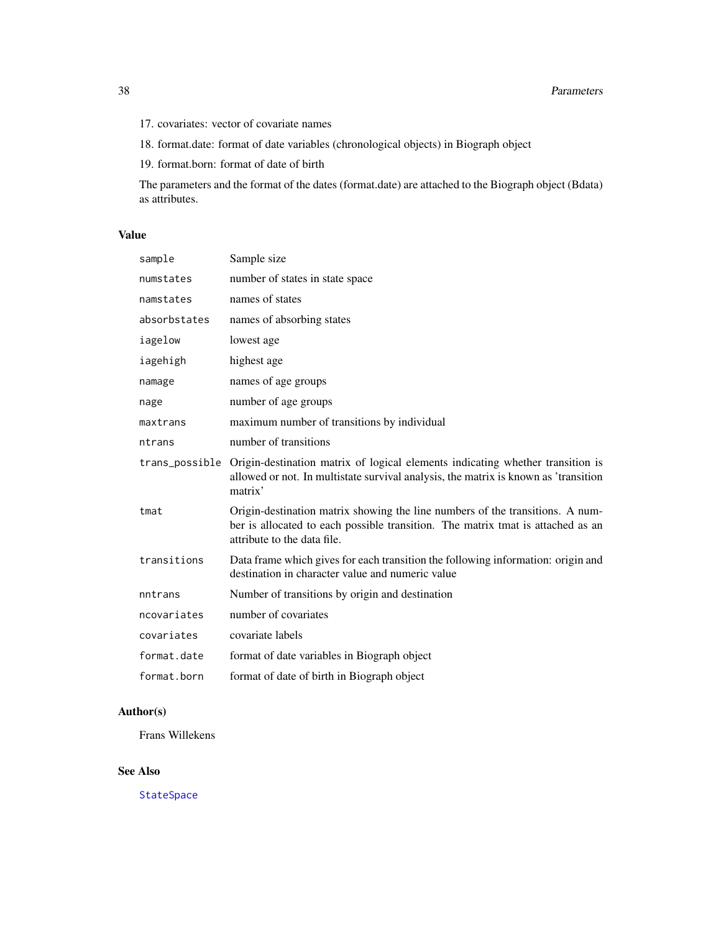- <span id="page-37-0"></span>17. covariates: vector of covariate names
- 18. format.date: format of date variables (chronological objects) in Biograph object
- 19. format.born: format of date of birth

The parameters and the format of the dates (format.date) are attached to the Biograph object (Bdata) as attributes.

## Value

| sample         | Sample size                                                                                                                                                                                     |
|----------------|-------------------------------------------------------------------------------------------------------------------------------------------------------------------------------------------------|
| numstates      | number of states in state space                                                                                                                                                                 |
| namstates      | names of states                                                                                                                                                                                 |
| absorbstates   | names of absorbing states                                                                                                                                                                       |
| iagelow        | lowest age                                                                                                                                                                                      |
| iagehigh       | highest age                                                                                                                                                                                     |
| namage         | names of age groups                                                                                                                                                                             |
| nage           | number of age groups                                                                                                                                                                            |
| maxtrans       | maximum number of transitions by individual                                                                                                                                                     |
| ntrans         | number of transitions                                                                                                                                                                           |
| trans_possible | Origin-destination matrix of logical elements indicating whether transition is<br>allowed or not. In multistate survival analysis, the matrix is known as 'transition<br>matrix'                |
| tmat           | Origin-destination matrix showing the line numbers of the transitions. A num-<br>ber is allocated to each possible transition. The matrix tmat is attached as an<br>attribute to the data file. |
| transitions    | Data frame which gives for each transition the following information: origin and<br>destination in character value and numeric value                                                            |
| nntrans        | Number of transitions by origin and destination                                                                                                                                                 |
| ncovariates    | number of covariates                                                                                                                                                                            |
| covariates     | covariate labels                                                                                                                                                                                |
| format.date    | format of date variables in Biograph object                                                                                                                                                     |
| format.born    | format of date of birth in Biograph object                                                                                                                                                      |

# Author(s)

Frans Willekens

## See Also

[StateSpace](#page-50-1)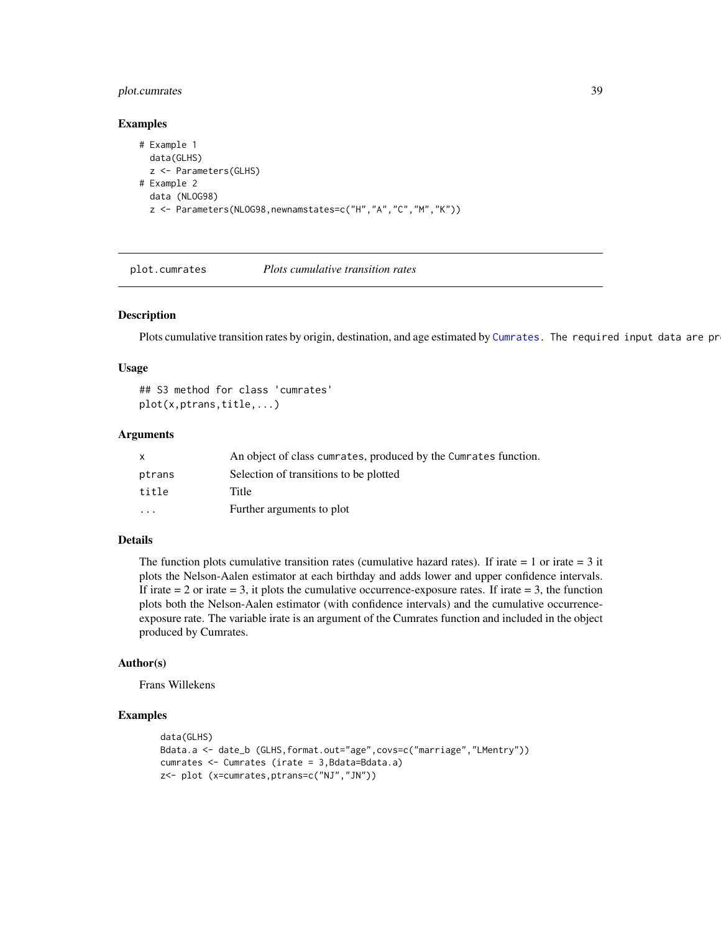## <span id="page-38-0"></span>plot.cumrates 39

#### Examples

```
# Example 1
 data(GLHS)
 z <- Parameters(GLHS)
# Example 2
 data (NLOG98)
 z <- Parameters(NLOG98,newnamstates=c("H","A","C","M","K"))
```
plot.cumrates *Plots cumulative transition rates*

#### Description

Plots cumulative transition rates by origin, destination, and age estimated by [Cumrates.](#page-15-1) The required input data are pr

#### Usage

```
## S3 method for class 'cumrates'
plot(x,ptrans,title,...)
```
#### Arguments

| x        | An object of class cumrates, produced by the Cumrates function. |
|----------|-----------------------------------------------------------------|
| ptrans   | Selection of transitions to be plotted                          |
| title    | Title                                                           |
| $\cdots$ | Further arguments to plot                                       |

#### Details

The function plots cumulative transition rates (cumulative hazard rates). If irate  $= 1$  or irate  $= 3$  it plots the Nelson-Aalen estimator at each birthday and adds lower and upper confidence intervals. If irate  $= 2$  or irate  $= 3$ , it plots the cumulative occurrence-exposure rates. If irate  $= 3$ , the function plots both the Nelson-Aalen estimator (with confidence intervals) and the cumulative occurrenceexposure rate. The variable irate is an argument of the Cumrates function and included in the object produced by Cumrates.

#### Author(s)

Frans Willekens

```
data(GLHS)
Bdata.a <- date_b (GLHS,format.out="age",covs=c("marriage","LMentry"))
cumrates <- Cumrates (irate = 3,Bdata=Bdata.a)
z<- plot (x=cumrates,ptrans=c("NJ","JN"))
```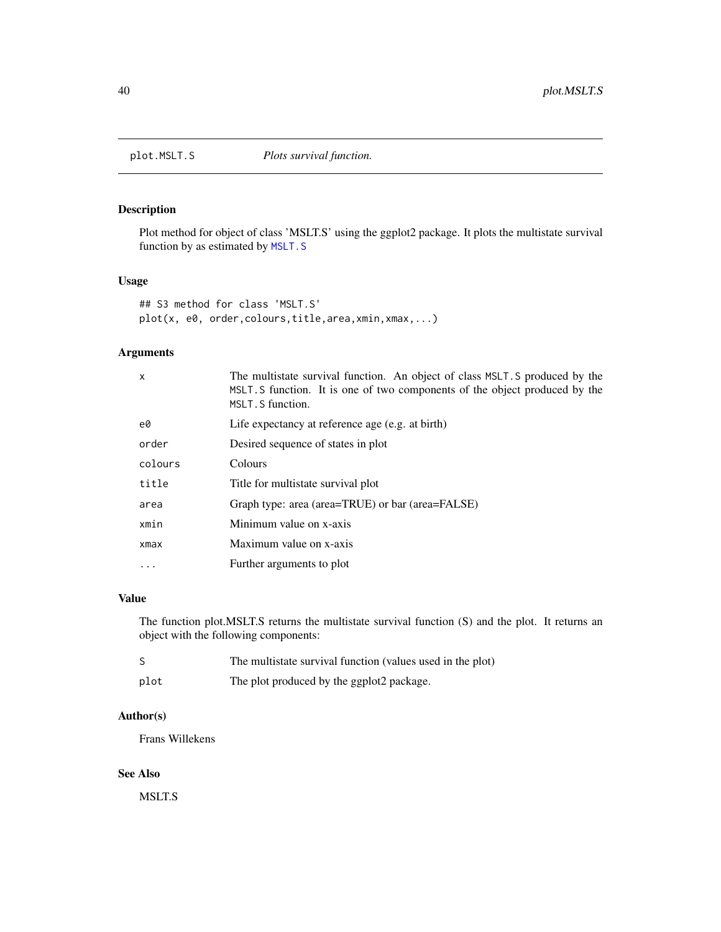<span id="page-39-1"></span><span id="page-39-0"></span>

Plot method for object of class 'MSLT.S' using the ggplot2 package. It plots the multistate survival function by as estimated by [MSLT.S](#page-30-1)

## Usage

```
## S3 method for class 'MSLT.S'
plot(x, e0, order,colours,title,area,xmin,xmax,...)
```
## Arguments

| $\mathsf{x}$ | The multistate survival function. An object of class MSLT. S produced by the<br>MSLT. S function. It is one of two components of the object produced by the<br>MSLT. S function. |
|--------------|----------------------------------------------------------------------------------------------------------------------------------------------------------------------------------|
| e0           | Life expectancy at reference age (e.g. at birth)                                                                                                                                 |
| order        | Desired sequence of states in plot                                                                                                                                               |
| colours      | Colours                                                                                                                                                                          |
| title        | Title for multistate survival plot                                                                                                                                               |
| area         | Graph type: area (area=TRUE) or bar (area=FALSE)                                                                                                                                 |
| xmin         | Minimum value on x-axis                                                                                                                                                          |
| $x$ ma $x$   | Maximum value on x-axis                                                                                                                                                          |
|              | Further arguments to plot                                                                                                                                                        |
|              |                                                                                                                                                                                  |

# Value

The function plot.MSLT.S returns the multistate survival function (S) and the plot. It returns an object with the following components:

|      | The multistate survival function (values used in the plot) |
|------|------------------------------------------------------------|
| plot | The plot produced by the ggplot2 package.                  |

## Author(s)

Frans Willekens

## See Also

MSLT.S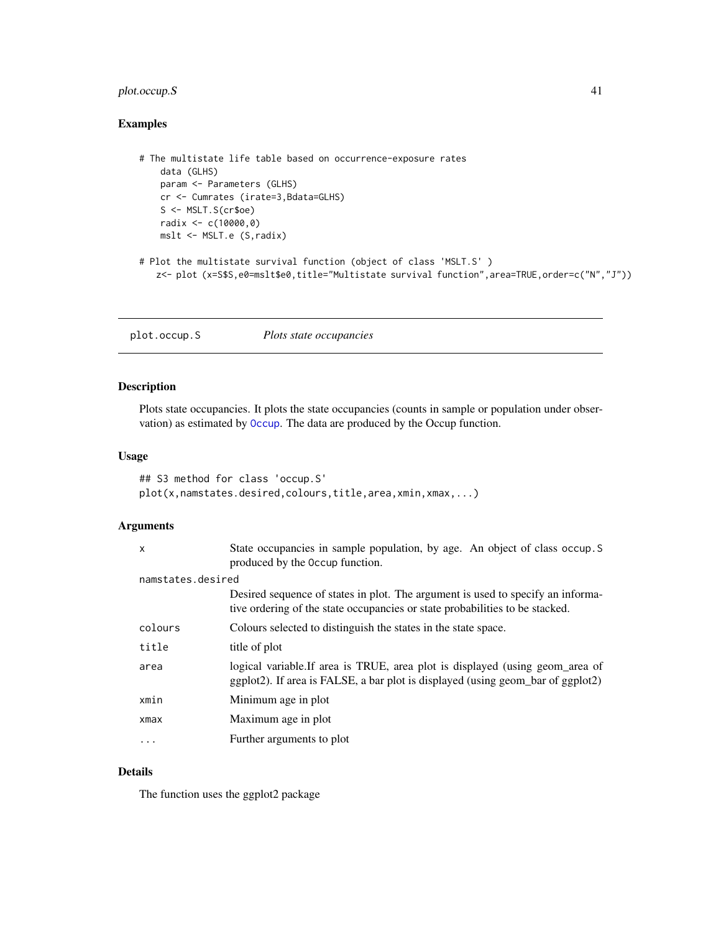## <span id="page-40-0"></span>plot.occup.S 41

## Examples

```
# The multistate life table based on occurrence-exposure rates
   data (GLHS)
   param <- Parameters (GLHS)
   cr <- Cumrates (irate=3,Bdata=GLHS)
   S <- MSLT.S(cr$oe)
   radix <- c(10000,0)
   mslt <- MSLT.e (S,radix)
# Plot the multistate survival function (object of class 'MSLT.S' )
   z<- plot (x=S$S,e0=mslt$e0,title="Multistate survival function",area=TRUE,order=c("N","J"))
```
plot.occup.S *Plots state occupancies*

## Description

Plots state occupancies. It plots the state occupancies (counts in sample or population under observation) as estimated by [Occup](#page-33-1). The data are produced by the Occup function.

#### Usage

```
## S3 method for class 'occup.S'
plot(x,namstates.desired,colours,title,area,xmin,xmax,...)
```
## Arguments

| X                 | State occupancies in sample population, by age. An object of class occup. S<br>produced by the Occup function.                                                  |
|-------------------|-----------------------------------------------------------------------------------------------------------------------------------------------------------------|
| namstates.desired |                                                                                                                                                                 |
|                   | Desired sequence of states in plot. The argument is used to specify an informa-<br>tive ordering of the state occupancies or state probabilities to be stacked. |
| colours           | Colours selected to distinguish the states in the state space.                                                                                                  |
| title             | title of plot                                                                                                                                                   |
| area              | logical variable.If area is TRUE, area plot is displayed (using geom_area of<br>ggplot2). If area is FALSE, a bar plot is displayed (using geom_bar of ggplot2) |
| xmin              | Minimum age in plot                                                                                                                                             |
| xmax              | Maximum age in plot                                                                                                                                             |
| $\ddots$          | Further arguments to plot                                                                                                                                       |

# Details

The function uses the ggplot2 package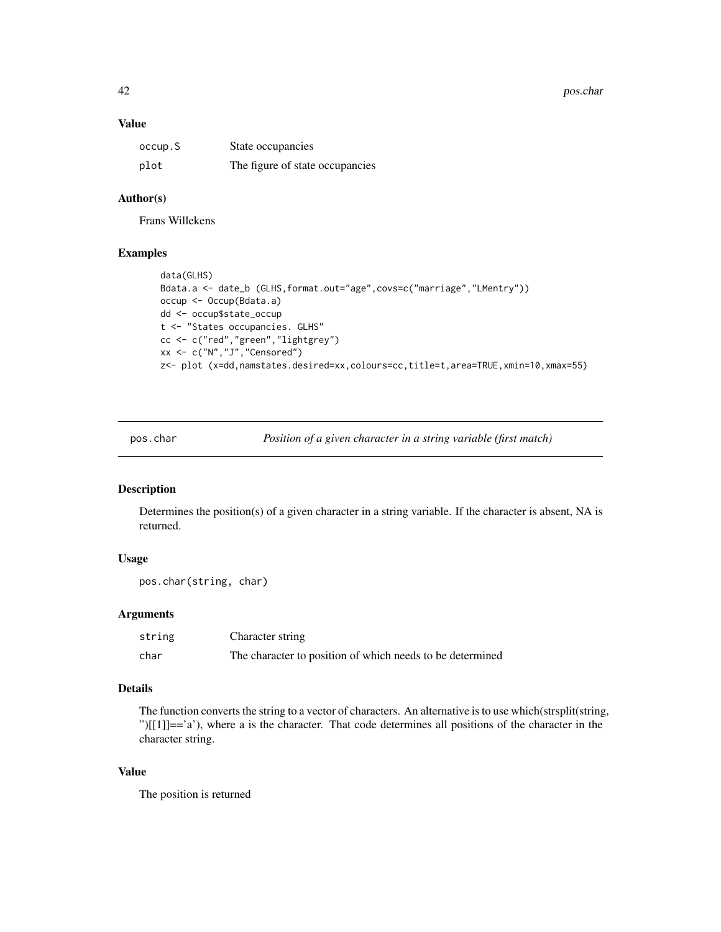<span id="page-41-0"></span>42 pos.char pos.char pos.char pos.char pos.char pos.char pos.char pos.char pos.char pos.char pos.char pos.char

#### Value

| occup.S | State occupancies               |
|---------|---------------------------------|
| plot    | The figure of state occupancies |

## Author(s)

Frans Willekens

## Examples

```
data(GLHS)
Bdata.a <- date_b (GLHS,format.out="age",covs=c("marriage","LMentry"))
occup <- Occup(Bdata.a)
dd <- occup$state_occup
t <- "States occupancies. GLHS"
cc <- c("red","green","lightgrey")
xx <- c("N","J","Censored")
z<- plot (x=dd,namstates.desired=xx,colours=cc,title=t,area=TRUE,xmin=10,xmax=55)
```
pos.char *Position of a given character in a string variable (first match)*

#### Description

Determines the position(s) of a given character in a string variable. If the character is absent, NA is returned.

# Usage

```
pos.char(string, char)
```
## Arguments

| string | Character string                                          |
|--------|-----------------------------------------------------------|
| char   | The character to position of which needs to be determined |

## Details

The function converts the string to a vector of characters. An alternative is to use which(strsplit(string, ")[[1]] $=$ a'), where a is the character. That code determines all positions of the character in the character string.

# Value

The position is returned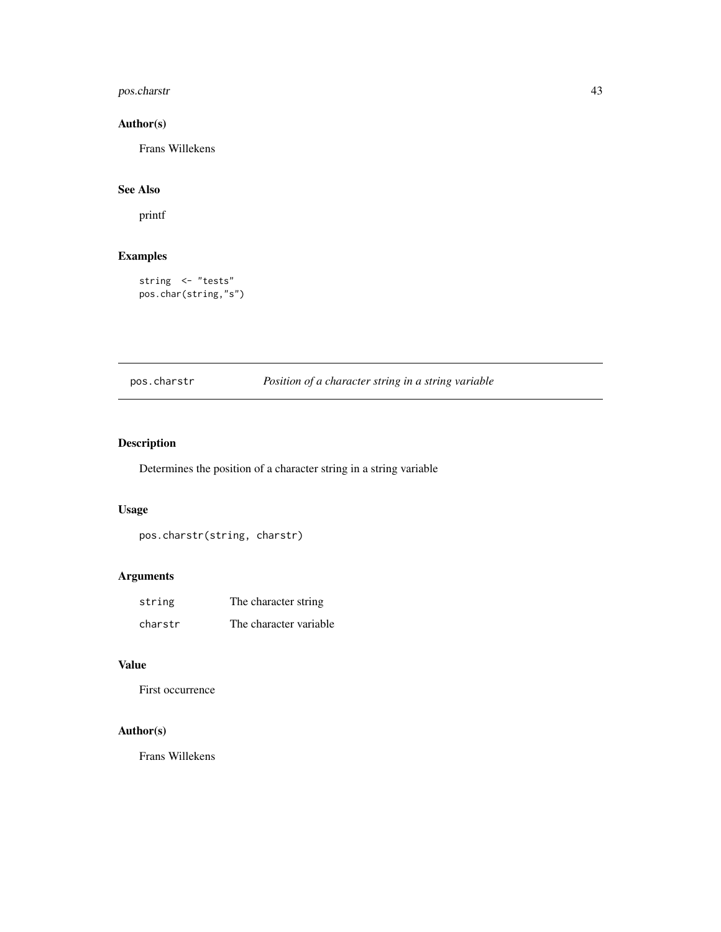# <span id="page-42-0"></span>pos.charstr 43

# Author(s)

Frans Willekens

# See Also

printf

# Examples

string <- "tests" pos.char(string,"s")

# pos.charstr *Position of a character string in a string variable*

# Description

Determines the position of a character string in a string variable

## Usage

pos.charstr(string, charstr)

# Arguments

| string  | The character string   |
|---------|------------------------|
| charstr | The character variable |

## Value

First occurrence

# Author(s)

Frans Willekens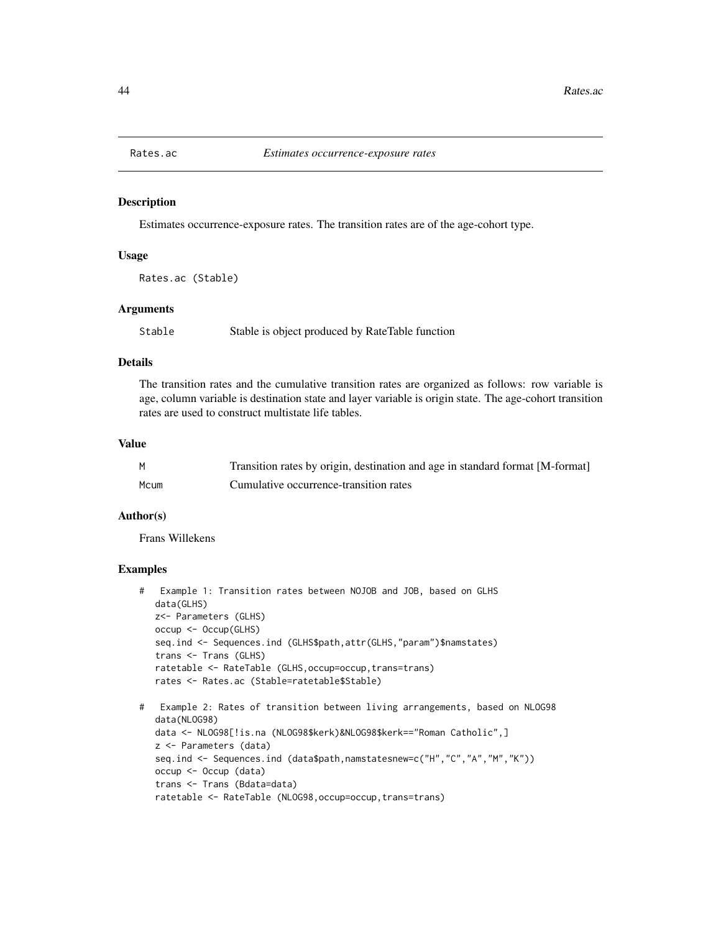<span id="page-43-0"></span>

Estimates occurrence-exposure rates. The transition rates are of the age-cohort type.

#### Usage

Rates.ac (Stable)

#### **Arguments**

Stable Stable is object produced by RateTable function

## Details

The transition rates and the cumulative transition rates are organized as follows: row variable is age, column variable is destination state and layer variable is origin state. The age-cohort transition rates are used to construct multistate life tables.

#### Value

| M    | Transition rates by origin, destination and age in standard format [M-format] |
|------|-------------------------------------------------------------------------------|
| Mcum | Cumulative occurrence-transition rates                                        |

#### Author(s)

Frans Willekens

```
# Example 1: Transition rates between NOJOB and JOB, based on GLHS
  data(GLHS)
  z<- Parameters (GLHS)
  occup <- Occup(GLHS)
  seq.ind <- Sequences.ind (GLHS$path,attr(GLHS,"param")$namstates)
   trans <- Trans (GLHS)
  ratetable <- RateTable (GLHS,occup=occup,trans=trans)
  rates <- Rates.ac (Stable=ratetable$Stable)
```

```
# Example 2: Rates of transition between living arrangements, based on NLOG98
  data(NLOG98)
  data <- NLOG98[!is.na (NLOG98$kerk)&NLOG98$kerk=="Roman Catholic",]
  z <- Parameters (data)
  seq.ind <- Sequences.ind (data$path,namstatesnew=c("H","C","A","M","K"))
  occup <- Occup (data)
  trans <- Trans (Bdata=data)
  ratetable <- RateTable (NLOG98,occup=occup,trans=trans)
```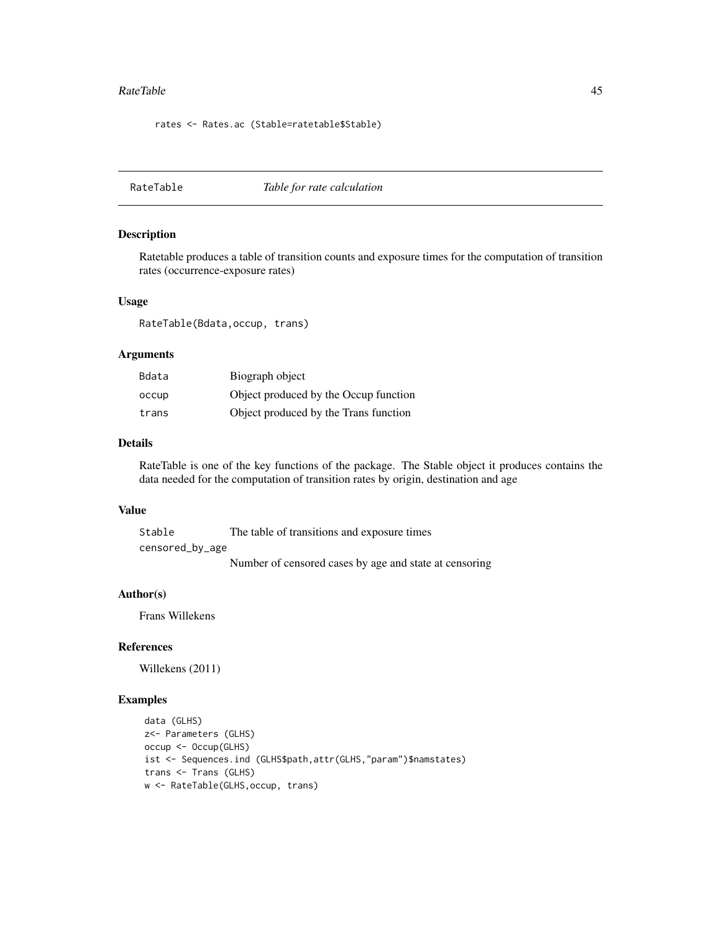#### <span id="page-44-0"></span>RateTable 45

rates <- Rates.ac (Stable=ratetable\$Stable)

RateTable *Table for rate calculation*

#### Description

Ratetable produces a table of transition counts and exposure times for the computation of transition rates (occurrence-exposure rates)

#### Usage

RateTable(Bdata,occup, trans)

#### Arguments

| Bdata | Biograph object                       |
|-------|---------------------------------------|
| occup | Object produced by the Occup function |
| trans | Object produced by the Trans function |

#### Details

RateTable is one of the key functions of the package. The Stable object it produces contains the data needed for the computation of transition rates by origin, destination and age

## Value

Stable The table of transitions and exposure times censored\_by\_age Number of censored cases by age and state at censoring

#### Author(s)

Frans Willekens

## References

Willekens (2011)

```
data (GLHS)
z<- Parameters (GLHS)
occup <- Occup(GLHS)
ist <- Sequences.ind (GLHS$path,attr(GLHS,"param")$namstates)
trans <- Trans (GLHS)
w <- RateTable(GLHS,occup, trans)
```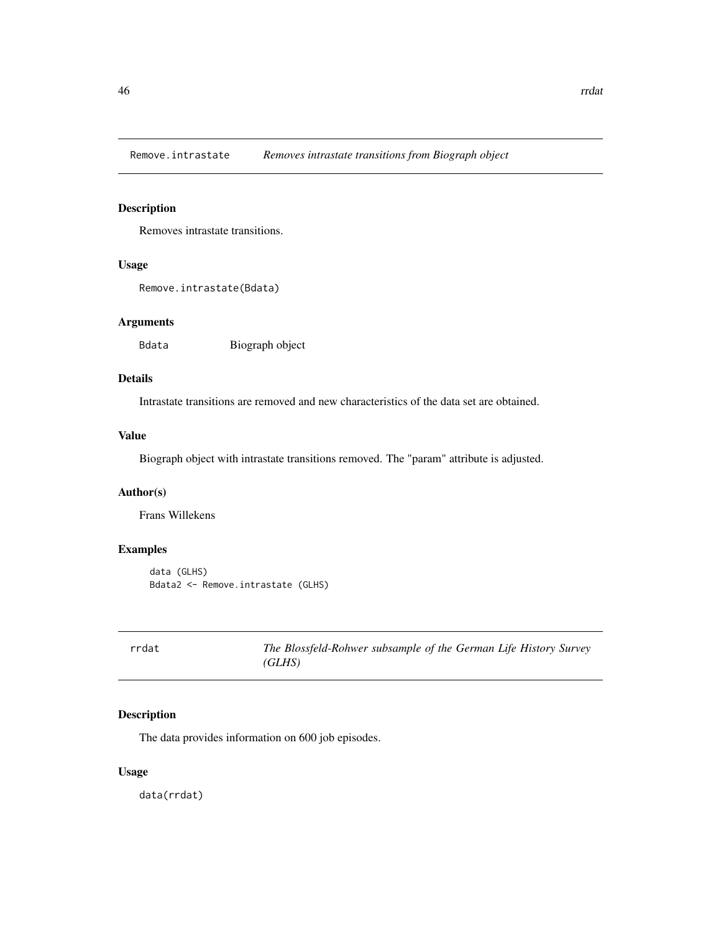<span id="page-45-0"></span>Remove.intrastate *Removes intrastate transitions from Biograph object*

## Description

Removes intrastate transitions.

## Usage

```
Remove.intrastate(Bdata)
```
## Arguments

Bdata Biograph object

# Details

Intrastate transitions are removed and new characteristics of the data set are obtained.

# Value

Biograph object with intrastate transitions removed. The "param" attribute is adjusted.

# Author(s)

Frans Willekens

## Examples

```
data (GLHS)
Bdata2 <- Remove.intrastate (GLHS)
```

| rrdat | The Blossfeld-Rohwer subsample of the German Life History Survey |
|-------|------------------------------------------------------------------|
|       | (GLHS)                                                           |

## Description

The data provides information on 600 job episodes.

## Usage

data(rrdat)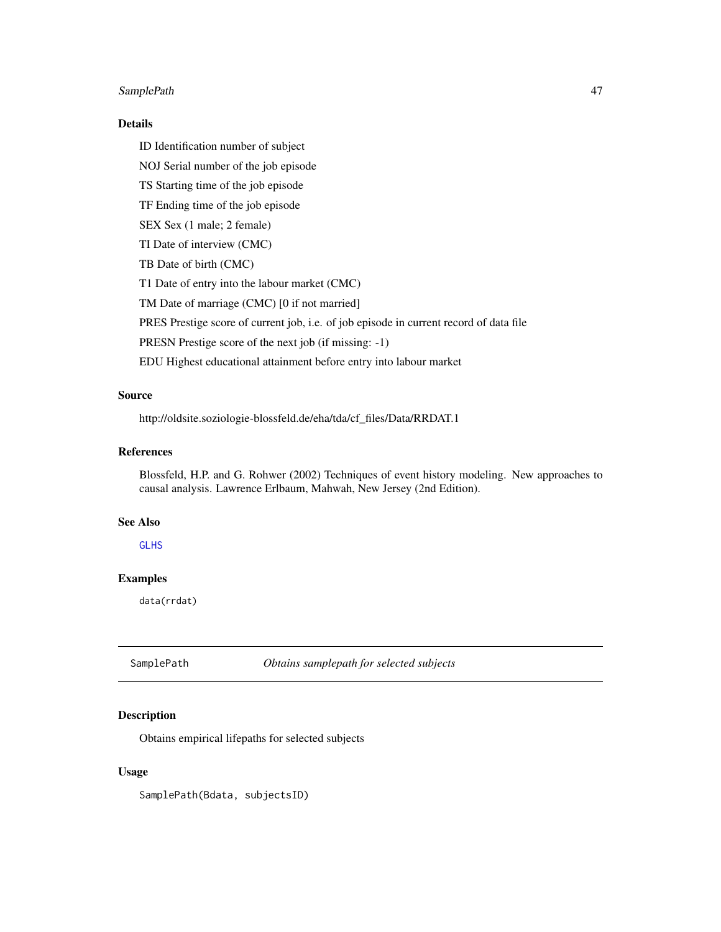## <span id="page-46-0"></span>SamplePath 47

## Details

ID Identification number of subject

NOJ Serial number of the job episode

TS Starting time of the job episode

TF Ending time of the job episode

SEX Sex (1 male; 2 female)

TI Date of interview (CMC)

TB Date of birth (CMC)

T1 Date of entry into the labour market (CMC)

TM Date of marriage (CMC) [0 if not married]

PRES Prestige score of current job, i.e. of job episode in current record of data file

PRESN Prestige score of the next job (if missing: -1)

EDU Highest educational attainment before entry into labour market

# Source

http://oldsite.soziologie-blossfeld.de/eha/tda/cf\_files/Data/RRDAT.1

## References

Blossfeld, H.P. and G. Rohwer (2002) Techniques of event history modeling. New approaches to causal analysis. Lawrence Erlbaum, Mahwah, New Jersey (2nd Edition).

#### See Also

**[GLHS](#page-20-1)** 

# Examples

data(rrdat)

SamplePath *Obtains samplepath for selected subjects*

## Description

Obtains empirical lifepaths for selected subjects

#### Usage

SamplePath(Bdata, subjectsID)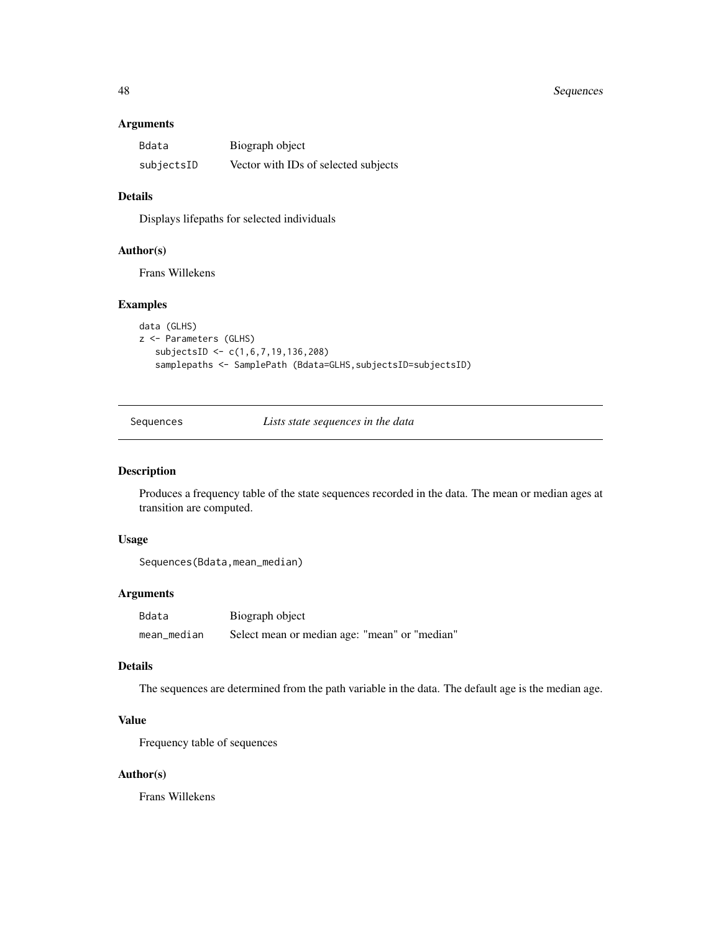## <span id="page-47-0"></span>48 Sequences

## Arguments

| Bdata      | Biograph object                      |
|------------|--------------------------------------|
| subjectsID | Vector with IDs of selected subjects |

## Details

Displays lifepaths for selected individuals

#### Author(s)

Frans Willekens

## Examples

```
data (GLHS)
z <- Parameters (GLHS)
   subjectsID <- c(1,6,7,19,136,208)
   samplepaths <- SamplePath (Bdata=GLHS, subjectsID=subjectsID)
```
Sequences *Lists state sequences in the data*

## Description

Produces a frequency table of the state sequences recorded in the data. The mean or median ages at transition are computed.

#### Usage

```
Sequences(Bdata,mean_median)
```
#### Arguments

| Bdata       | Biograph object                               |
|-------------|-----------------------------------------------|
| mean median | Select mean or median age: "mean" or "median" |

## Details

The sequences are determined from the path variable in the data. The default age is the median age.

# Value

Frequency table of sequences

## Author(s)

Frans Willekens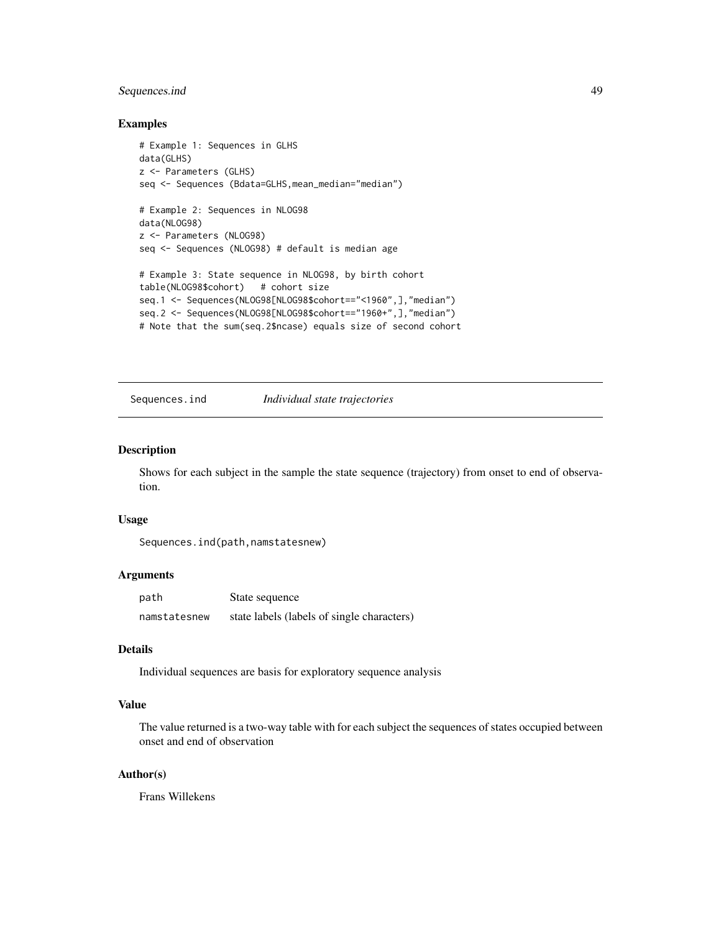## <span id="page-48-0"></span>Sequences.ind 49

#### Examples

```
# Example 1: Sequences in GLHS
data(GLHS)
z <- Parameters (GLHS)
seq <- Sequences (Bdata=GLHS,mean_median="median")
# Example 2: Sequences in NLOG98
data(NLOG98)
z <- Parameters (NLOG98)
seq <- Sequences (NLOG98) # default is median age
# Example 3: State sequence in NLOG98, by birth cohort
table(NLOG98$cohort) # cohort size
seq.1 <- Sequences(NLOG98[NLOG98$cohort=="<1960",],"median")
seq.2 <- Sequences(NLOG98[NLOG98$cohort=="1960+",],"median")
# Note that the sum(seq.2$ncase) equals size of second cohort
```
Sequences.ind *Individual state trajectories*

#### Description

Shows for each subject in the sample the state sequence (trajectory) from onset to end of observation.

## Usage

Sequences.ind(path,namstatesnew)

## Arguments

| path         | State sequence                             |
|--------------|--------------------------------------------|
| namstatesnew | state labels (labels of single characters) |

#### Details

Individual sequences are basis for exploratory sequence analysis

## Value

The value returned is a two-way table with for each subject the sequences of states occupied between onset and end of observation

## Author(s)

Frans Willekens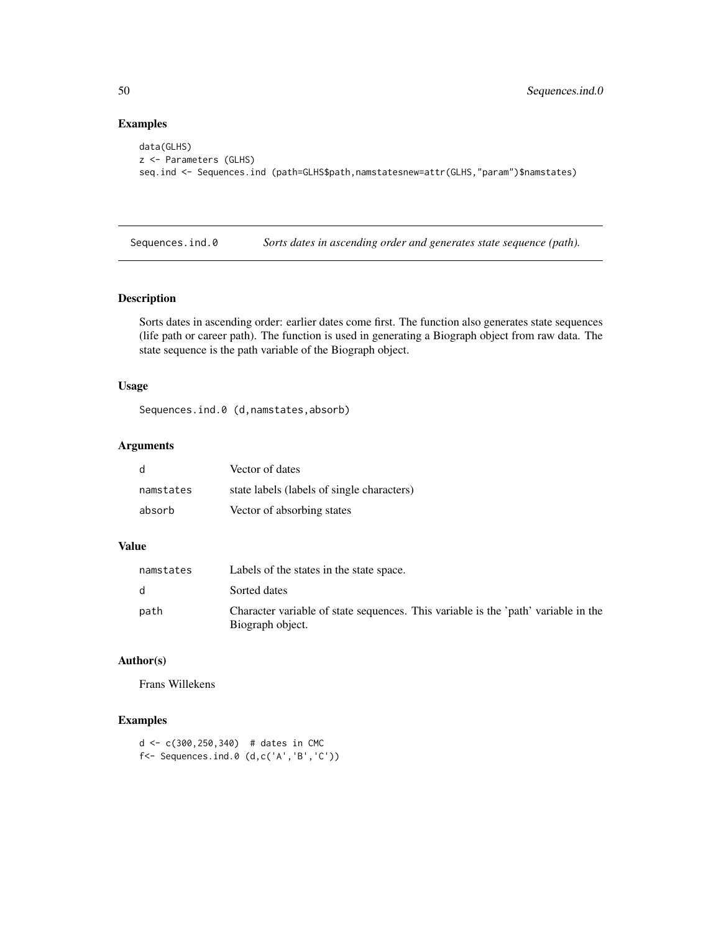## Examples

```
data(GLHS)
z <- Parameters (GLHS)
seq.ind <- Sequences.ind (path=GLHS$path,namstatesnew=attr(GLHS,"param")$namstates)
```
Sequences.ind.0 *Sorts dates in ascending order and generates state sequence (path).*

## Description

Sorts dates in ascending order: earlier dates come first. The function also generates state sequences (life path or career path). The function is used in generating a Biograph object from raw data. The state sequence is the path variable of the Biograph object.

## Usage

Sequences.ind.0 (d,namstates,absorb)

## Arguments

| d         | Vector of dates                            |
|-----------|--------------------------------------------|
| namstates | state labels (labels of single characters) |
| absorb    | Vector of absorbing states                 |

## Value

| namstates    | Labels of the states in the state space.                                                               |
|--------------|--------------------------------------------------------------------------------------------------------|
| <sub>d</sub> | Sorted dates                                                                                           |
| path         | Character variable of state sequences. This variable is the 'path' variable in the<br>Biograph object. |

## Author(s)

Frans Willekens

```
d <- c(300,250,340) # dates in CMC
f<- Sequences.ind.0 (d,c('A','B','C'))
```
<span id="page-49-0"></span>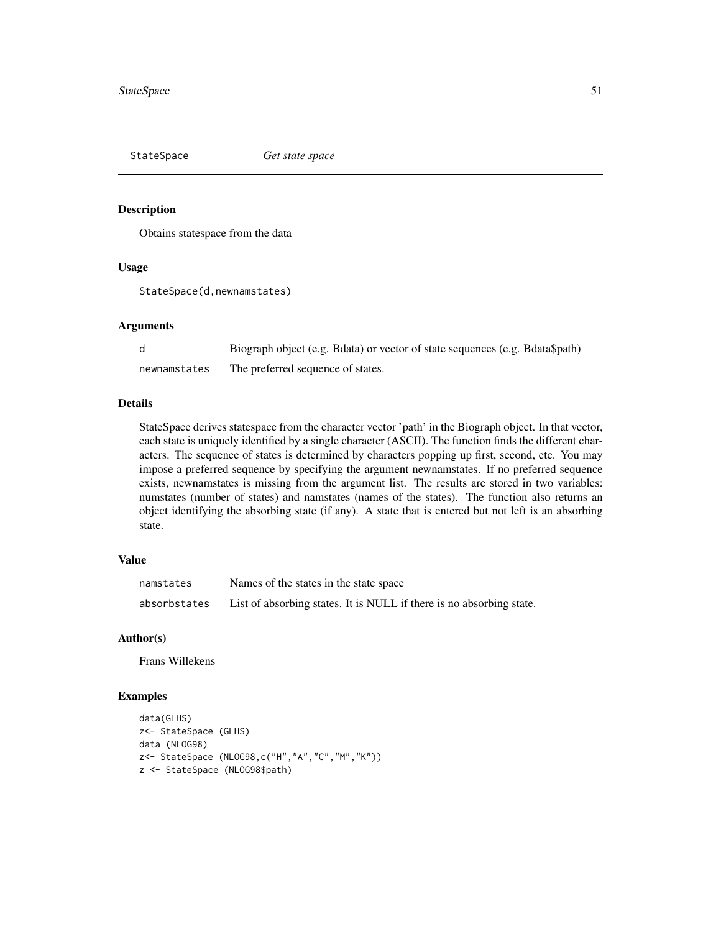<span id="page-50-1"></span><span id="page-50-0"></span>StateSpace *Get state space*

## Description

Obtains statespace from the data

#### Usage

StateSpace(d,newnamstates)

#### **Arguments**

|              | Biograph object (e.g. Bdata) or vector of state sequences (e.g. Bdata\$path) |
|--------------|------------------------------------------------------------------------------|
| newnamstates | The preferred sequence of states.                                            |

#### Details

StateSpace derives statespace from the character vector 'path' in the Biograph object. In that vector, each state is uniquely identified by a single character (ASCII). The function finds the different characters. The sequence of states is determined by characters popping up first, second, etc. You may impose a preferred sequence by specifying the argument newnamstates. If no preferred sequence exists, newnamstates is missing from the argument list. The results are stored in two variables: numstates (number of states) and namstates (names of the states). The function also returns an object identifying the absorbing state (if any). A state that is entered but not left is an absorbing state.

## Value

| namstates    | Names of the states in the state space                               |
|--------------|----------------------------------------------------------------------|
| absorbstates | List of absorbing states. It is NULL if there is no absorbing state. |

#### Author(s)

Frans Willekens

```
data(GLHS)
z<- StateSpace (GLHS)
data (NLOG98)
z<- StateSpace (NLOG98,c("H","A","C","M","K"))
z <- StateSpace (NLOG98$path)
```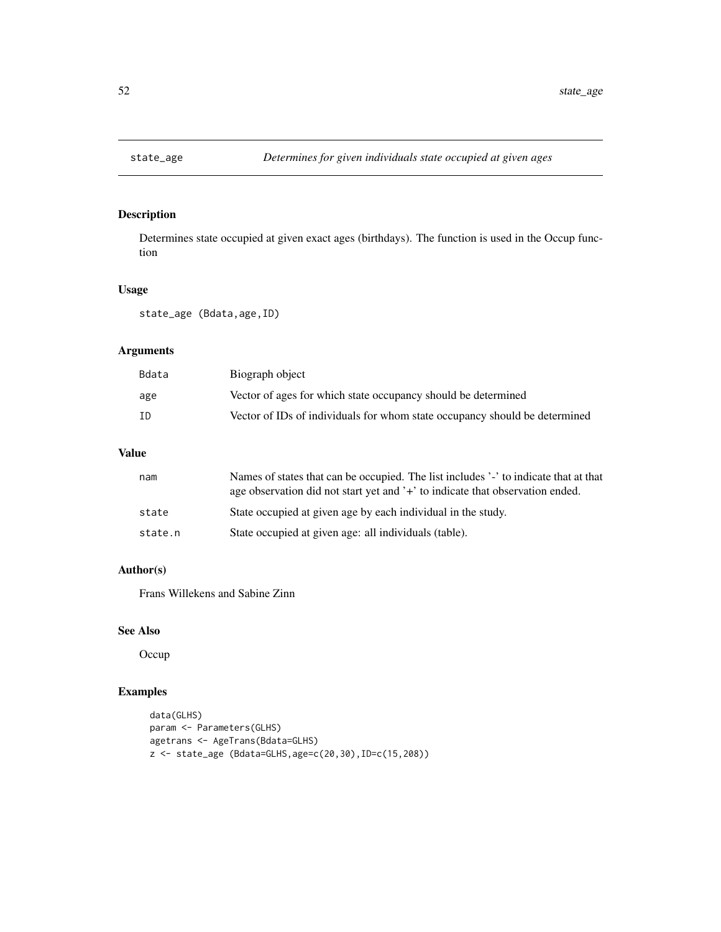<span id="page-51-0"></span>

Determines state occupied at given exact ages (birthdays). The function is used in the Occup function

## Usage

state\_age (Bdata,age,ID)

# Arguments

| Bdata | Biograph object                                                            |
|-------|----------------------------------------------------------------------------|
| age   | Vector of ages for which state occupancy should be determined              |
| ΙD    | Vector of IDs of individuals for whom state occupancy should be determined |

# Value

| nam     | Names of states that can be occupied. The list includes '-' to indicate that at that<br>age observation did not start yet and '+' to indicate that observation ended. |
|---------|-----------------------------------------------------------------------------------------------------------------------------------------------------------------------|
| state   | State occupied at given age by each individual in the study.                                                                                                          |
| state.n | State occupied at given age: all individuals (table).                                                                                                                 |

# Author(s)

Frans Willekens and Sabine Zinn

## See Also

**Occup** 

```
data(GLHS)
param <- Parameters(GLHS)
agetrans <- AgeTrans(Bdata=GLHS)
z <- state_age (Bdata=GLHS,age=c(20,30),ID=c(15,208))
```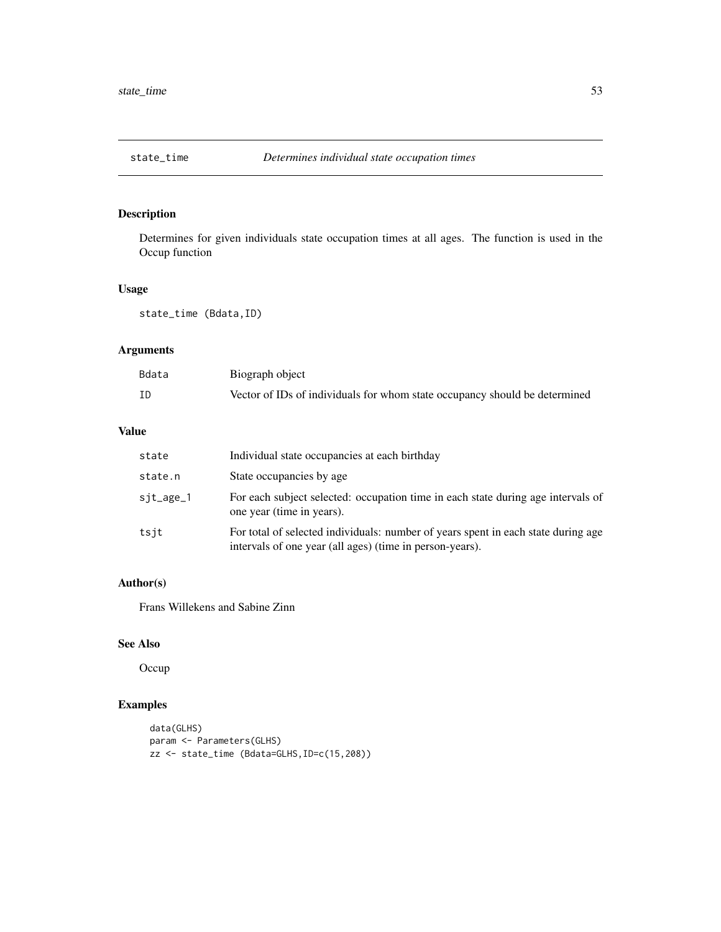<span id="page-52-0"></span>

Determines for given individuals state occupation times at all ages. The function is used in the Occup function

## Usage

state\_time (Bdata,ID)

# Arguments

| Bdata | Biograph object                                                            |
|-------|----------------------------------------------------------------------------|
| ΙD    | Vector of IDs of individuals for whom state occupancy should be determined |

# Value

| state     | Individual state occupancies at each birthday                                                                                                 |
|-----------|-----------------------------------------------------------------------------------------------------------------------------------------------|
| state.n   | State occupancies by age                                                                                                                      |
| sjt_age_1 | For each subject selected: occupation time in each state during age intervals of<br>one year (time in years).                                 |
| tsit      | For total of selected individuals: number of years spent in each state during age<br>intervals of one year (all ages) (time in person-years). |

# Author(s)

Frans Willekens and Sabine Zinn

#### See Also

**Occup** 

```
data(GLHS)
param <- Parameters(GLHS)
zz <- state_time (Bdata=GLHS,ID=c(15,208))
```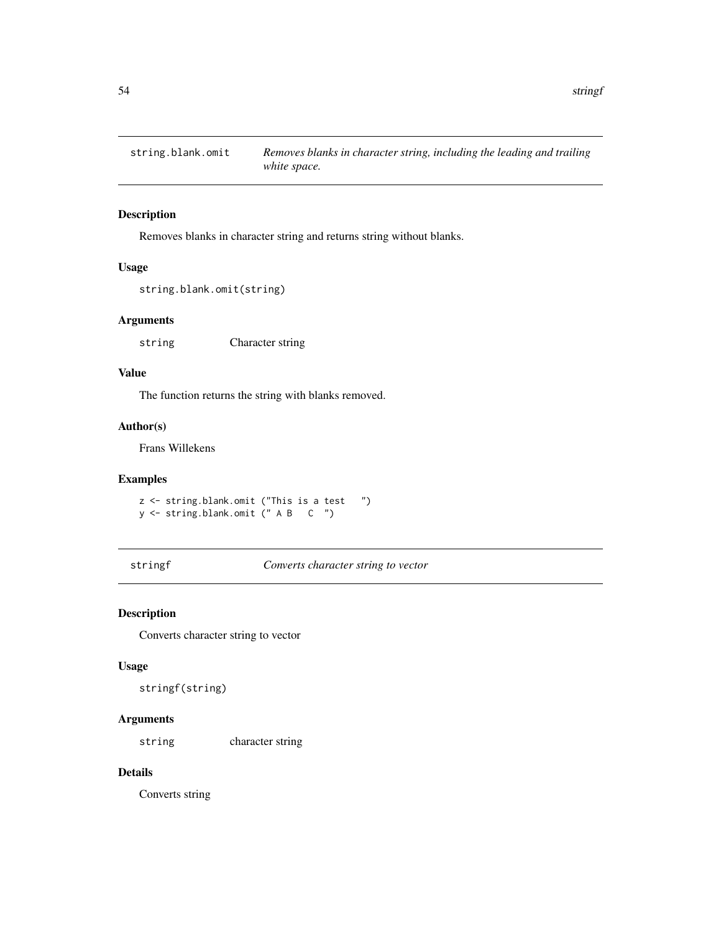<span id="page-53-0"></span>

Removes blanks in character string and returns string without blanks.

#### Usage

```
string.blank.omit(string)
```
## Arguments

string Character string

#### Value

The function returns the string with blanks removed.

## Author(s)

Frans Willekens

## Examples

z <- string.blank.omit ("This is a test ") y <- string.blank.omit (" A B C ")

stringf *Converts character string to vector*

## Description

Converts character string to vector

## Usage

stringf(string)

## Arguments

string character string

# Details

Converts string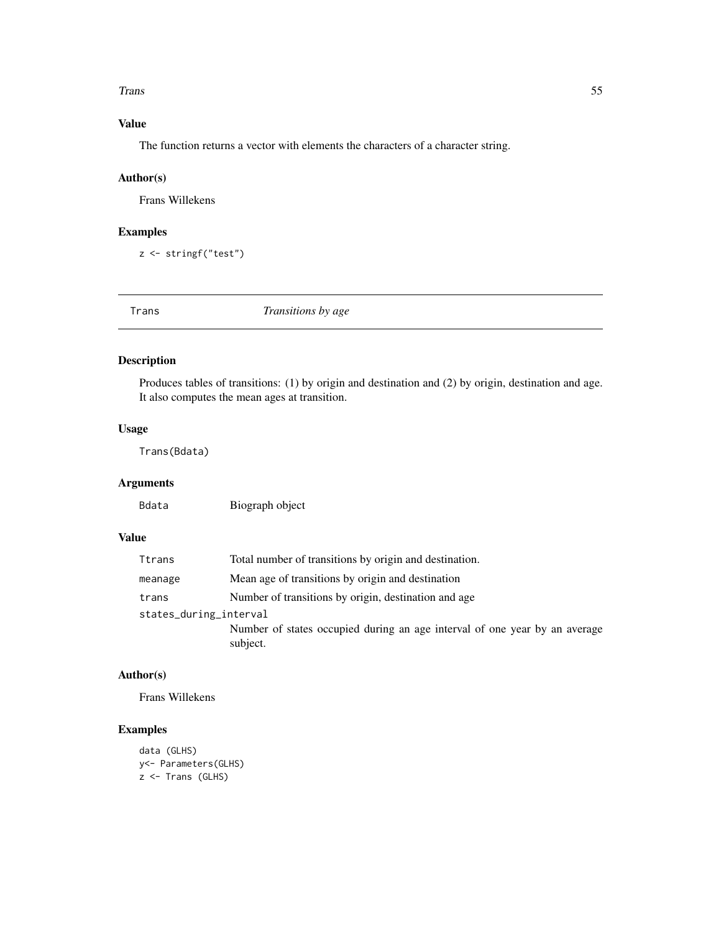#### <span id="page-54-0"></span>Trans 55

# Value

The function returns a vector with elements the characters of a character string.

## Author(s)

Frans Willekens

## Examples

z <- stringf("test")

Trans *Transitions by age*

## Description

Produces tables of transitions: (1) by origin and destination and (2) by origin, destination and age. It also computes the mean ages at transition.

## Usage

Trans(Bdata)

# Arguments

Bdata Biograph object

## Value

| Ttrans                 | Total number of transitions by origin and destination.                                 |  |
|------------------------|----------------------------------------------------------------------------------------|--|
| meanage                | Mean age of transitions by origin and destination                                      |  |
| trans                  | Number of transitions by origin, destination and age                                   |  |
| states_during_interval |                                                                                        |  |
|                        | Number of states occupied during an age interval of one year by an average<br>subject. |  |

# Author(s)

Frans Willekens

```
data (GLHS)
y<- Parameters(GLHS)
z <- Trans (GLHS)
```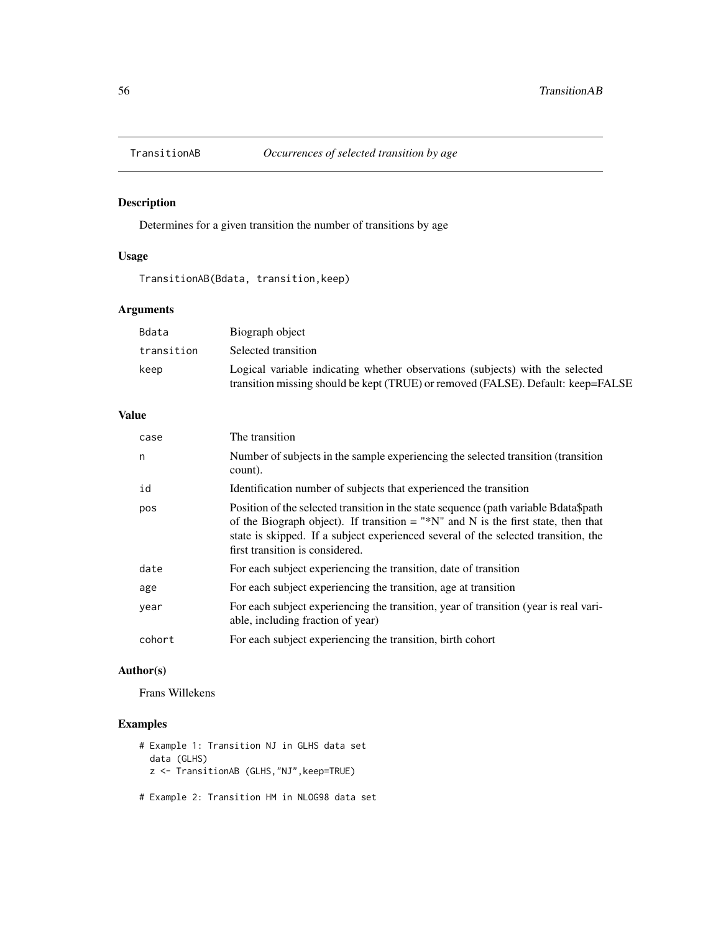<span id="page-55-0"></span>

Determines for a given transition the number of transitions by age

## Usage

TransitionAB(Bdata, transition,keep)

## Arguments

| Bdata      | Biograph object                                                                                                                                                   |
|------------|-------------------------------------------------------------------------------------------------------------------------------------------------------------------|
| transition | Selected transition                                                                                                                                               |
| keep       | Logical variable indicating whether observations (subjects) with the selected<br>transition missing should be kept (TRUE) or removed (FALSE). Default: keep=FALSE |

# Value

| case   | The transition                                                                                                                                                                                                                                                                                     |
|--------|----------------------------------------------------------------------------------------------------------------------------------------------------------------------------------------------------------------------------------------------------------------------------------------------------|
| n      | Number of subjects in the sample experiencing the selected transition (transition)<br>count).                                                                                                                                                                                                      |
| id     | Identification number of subjects that experienced the transition                                                                                                                                                                                                                                  |
| pos    | Position of the selected transition in the state sequence (path variable Bdata\$path<br>of the Biograph object). If transition = "*N" and N is the first state, then that<br>state is skipped. If a subject experienced several of the selected transition, the<br>first transition is considered. |
| date   | For each subject experiencing the transition, date of transition                                                                                                                                                                                                                                   |
| age    | For each subject experiencing the transition, age at transition                                                                                                                                                                                                                                    |
| year   | For each subject experiencing the transition, year of transition (year is real vari-<br>able, including fraction of year)                                                                                                                                                                          |
| cohort | For each subject experiencing the transition, birth cohort                                                                                                                                                                                                                                         |

## Author(s)

Frans Willekens

# Examples

```
# Example 1: Transition NJ in GLHS data set
  data (GLHS)
  z <- TransitionAB (GLHS,"NJ",keep=TRUE)
```
# Example 2: Transition HM in NLOG98 data set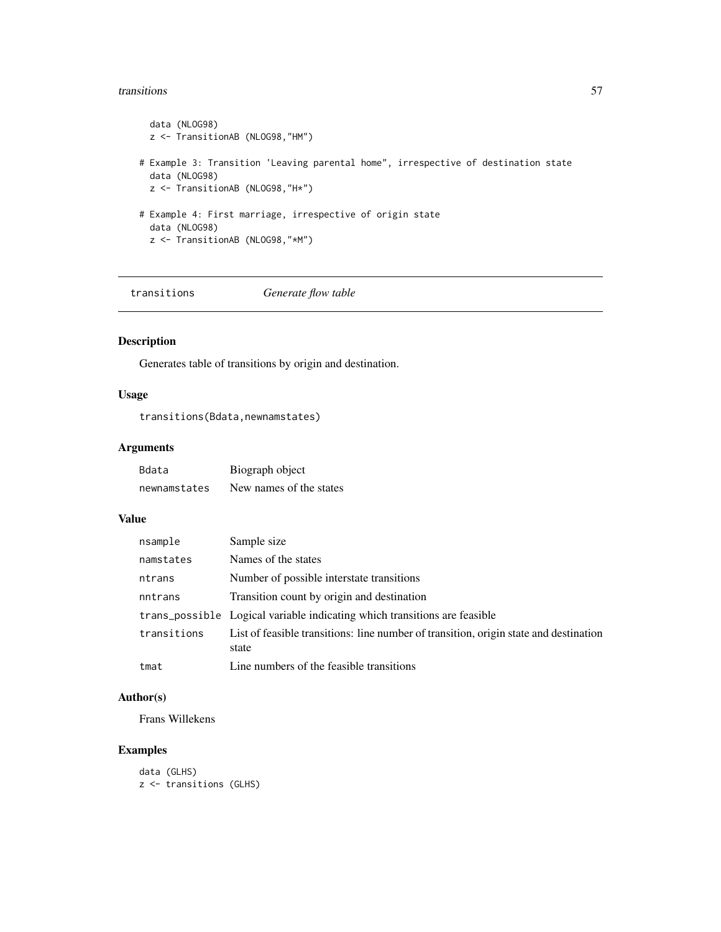#### <span id="page-56-0"></span>transitions 57

```
data (NLOG98)
  z <- TransitionAB (NLOG98,"HM")
# Example 3: Transition 'Leaving parental home", irrespective of destination state
  data (NLOG98)
  z <- TransitionAB (NLOG98,"H*")
# Example 4: First marriage, irrespective of origin state
  data (NLOG98)
  z <- TransitionAB (NLOG98,"*M")
```
transitions *Generate flow table*

## Description

Generates table of transitions by origin and destination.

# Usage

transitions(Bdata,newnamstates)

## Arguments

| Bdata        | Biograph object         |
|--------------|-------------------------|
| newnamstates | New names of the states |

#### Value

| nsample     | Sample size                                                                                    |
|-------------|------------------------------------------------------------------------------------------------|
| namstates   | Names of the states                                                                            |
| ntrans      | Number of possible interstate transitions                                                      |
| nntrans     | Transition count by origin and destination                                                     |
|             | trans_possible Logical variable indicating which transitions are feasible                      |
| transitions | List of feasible transitions: line number of transition, origin state and destination<br>state |
| tmat        | Line numbers of the feasible transitions                                                       |

## Author(s)

Frans Willekens

```
data (GLHS)
z <- transitions (GLHS)
```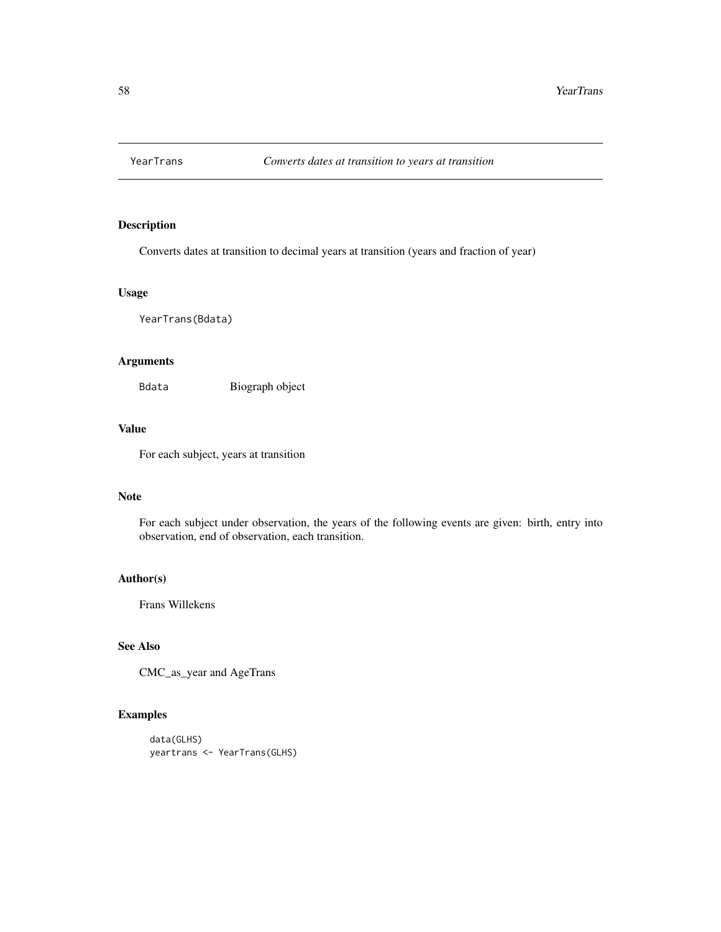<span id="page-57-0"></span>

Converts dates at transition to decimal years at transition (years and fraction of year)

## Usage

YearTrans(Bdata)

## Arguments

Bdata Biograph object

# Value

For each subject, years at transition

# Note

For each subject under observation, the years of the following events are given: birth, entry into observation, end of observation, each transition.

## Author(s)

Frans Willekens

## See Also

CMC\_as\_year and AgeTrans

## Examples

data(GLHS) yeartrans <- YearTrans(GLHS)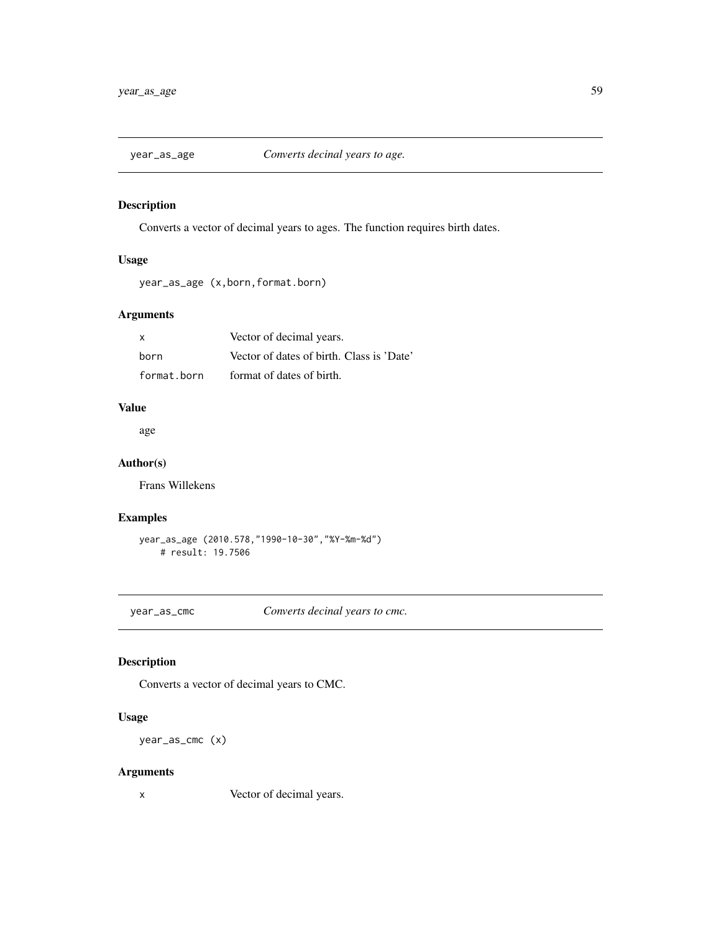<span id="page-58-0"></span>

Converts a vector of decimal years to ages. The function requires birth dates.

# Usage

year\_as\_age (x,born,format.born)

## Arguments

| X           | Vector of decimal years.                  |
|-------------|-------------------------------------------|
| born        | Vector of dates of birth. Class is 'Date' |
| format.born | format of dates of birth.                 |

# Value

age

## Author(s)

Frans Willekens

# Examples

```
year_as_age (2010.578,"1990-10-30","%Y-%m-%d")
   # result: 19.7506
```
year\_as\_cmc *Converts decinal years to cmc.*

## Description

Converts a vector of decimal years to CMC.

## Usage

year\_as\_cmc (x)

## Arguments

x Vector of decimal years.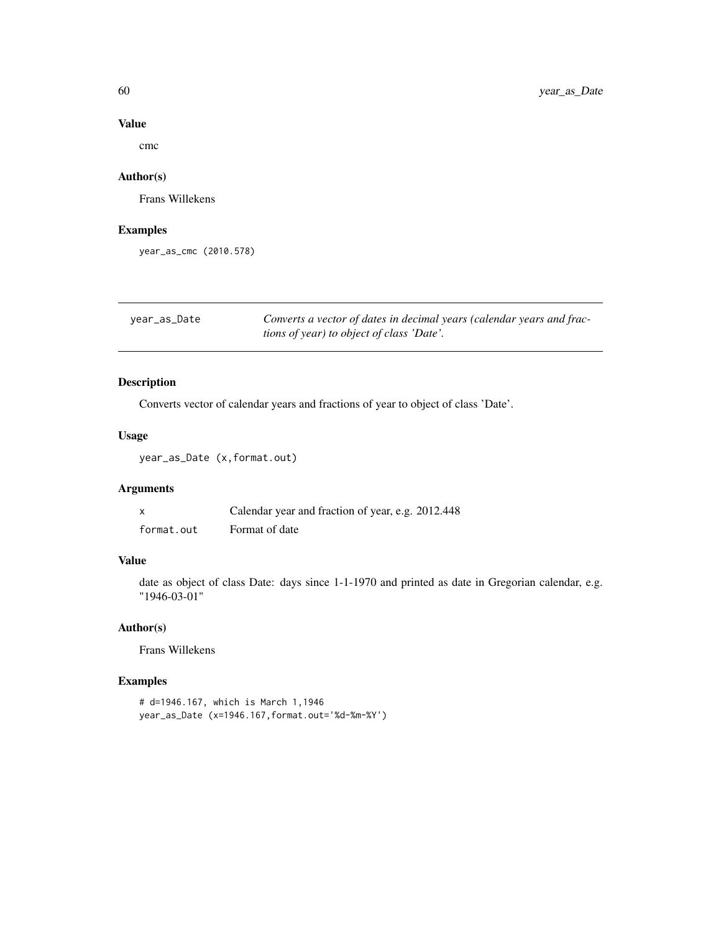## Value

cmc

## Author(s)

Frans Willekens

## Examples

year\_as\_cmc (2010.578)

| year_as_Date | Converts a vector of dates in decimal years (calendar years and frac- |
|--------------|-----------------------------------------------------------------------|
|              | <i>tions of year) to object of class 'Date'.</i>                      |

# Description

Converts vector of calendar years and fractions of year to object of class 'Date'.

## Usage

year\_as\_Date (x,format.out)

## Arguments

|            | Calendar year and fraction of year, e.g. 2012.448 |
|------------|---------------------------------------------------|
| format.out | Format of date                                    |

## Value

date as object of class Date: days since 1-1-1970 and printed as date in Gregorian calendar, e.g. "1946-03-01"

## Author(s)

Frans Willekens

```
# d=1946.167, which is March 1,1946
year_as_Date (x=1946.167,format.out='%d-%m-%Y')
```
<span id="page-59-0"></span>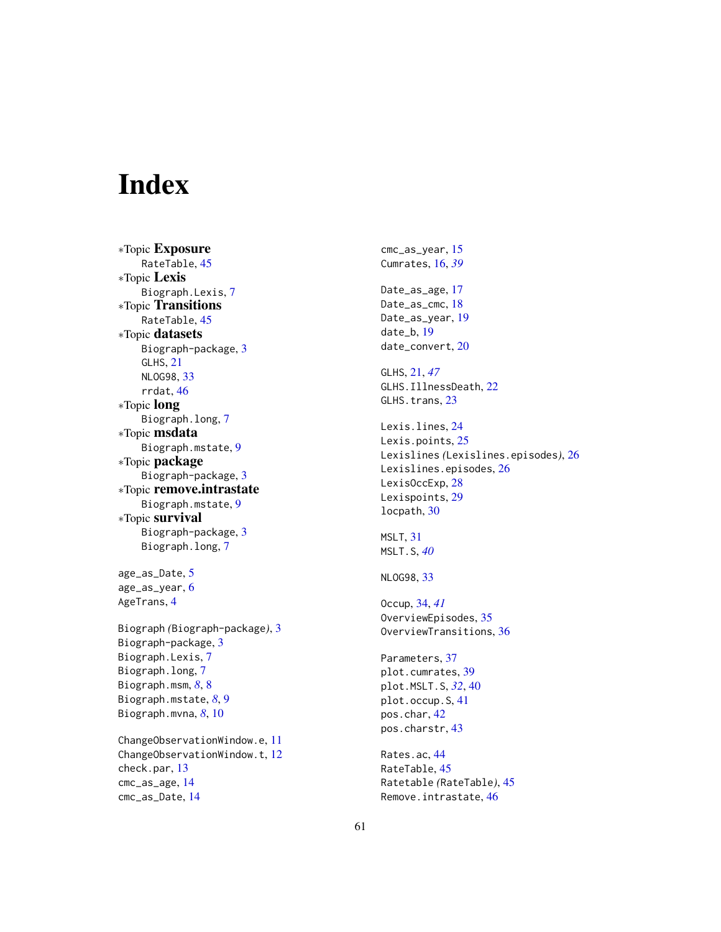# <span id="page-60-0"></span>Index

∗Topic Exposure RateTable, [45](#page-44-0) ∗Topic Lexis Biograph.Lexis, [7](#page-6-0) ∗Topic Transitions RateTable, [45](#page-44-0) ∗Topic datasets Biograph-package, [3](#page-2-0) GLHS, [21](#page-20-0) NLOG98, [33](#page-32-0) rrdat, [46](#page-45-0) ∗Topic long Biograph.long, [7](#page-6-0) ∗Topic msdata Biograph.mstate, [9](#page-8-0) ∗Topic package Biograph-package, [3](#page-2-0) ∗Topic remove.intrastate Biograph.mstate, [9](#page-8-0) ∗Topic survival Biograph-package, [3](#page-2-0) Biograph.long, [7](#page-6-0)

age\_as\_Date, [5](#page-4-0) age\_as\_year, [6](#page-5-0) AgeTrans, [4](#page-3-0)

Biograph *(*Biograph-package*)*, [3](#page-2-0) Biograph-package, [3](#page-2-0) Biograph.Lexis, [7](#page-6-0) Biograph.long, [7](#page-6-0) Biograph.msm, *[8](#page-7-0)*, [8](#page-7-0) Biograph.mstate, *[8](#page-7-0)*, [9](#page-8-0) Biograph.mvna, *[8](#page-7-0)*, [10](#page-9-0)

ChangeObservationWindow.e, [11](#page-10-0) ChangeObservationWindow.t, [12](#page-11-0) check.par, [13](#page-12-0) cmc\_as\_age, [14](#page-13-0) cmc\_as\_Date, [14](#page-13-0)

cmc\_as\_year, [15](#page-14-0) Cumrates, [16,](#page-15-0) *[39](#page-38-0)* Date\_as\_age, [17](#page-16-0) Date\_as\_cmc, [18](#page-17-0) Date\_as\_year, [19](#page-18-0) date\_b, [19](#page-18-0) date\_convert, [20](#page-19-0) GLHS, [21,](#page-20-0) *[47](#page-46-0)* GLHS.IllnessDeath, [22](#page-21-0) GLHS.trans, [23](#page-22-0) Lexis.lines, [24](#page-23-0) Lexis.points, [25](#page-24-0) Lexislines *(*Lexislines.episodes*)*, [26](#page-25-0) Lexislines.episodes, [26](#page-25-0) LexisOccExp, [28](#page-27-0) Lexispoints, [29](#page-28-0) locpath, [30](#page-29-0) MSLT, [31](#page-30-0) MSLT.S, *[40](#page-39-0)* NLOG98, [33](#page-32-0) Occup, [34,](#page-33-0) *[41](#page-40-0)* OverviewEpisodes, [35](#page-34-0) OverviewTransitions, [36](#page-35-0) Parameters, [37](#page-36-0) plot.cumrates, [39](#page-38-0) plot.MSLT.S, *[32](#page-31-0)*, [40](#page-39-0) plot.occup.S, [41](#page-40-0) pos.char, [42](#page-41-0) pos.charstr, [43](#page-42-0) Rates.ac, [44](#page-43-0) RateTable, [45](#page-44-0) Ratetable *(*RateTable*)*, [45](#page-44-0) Remove.intrastate, [46](#page-45-0)